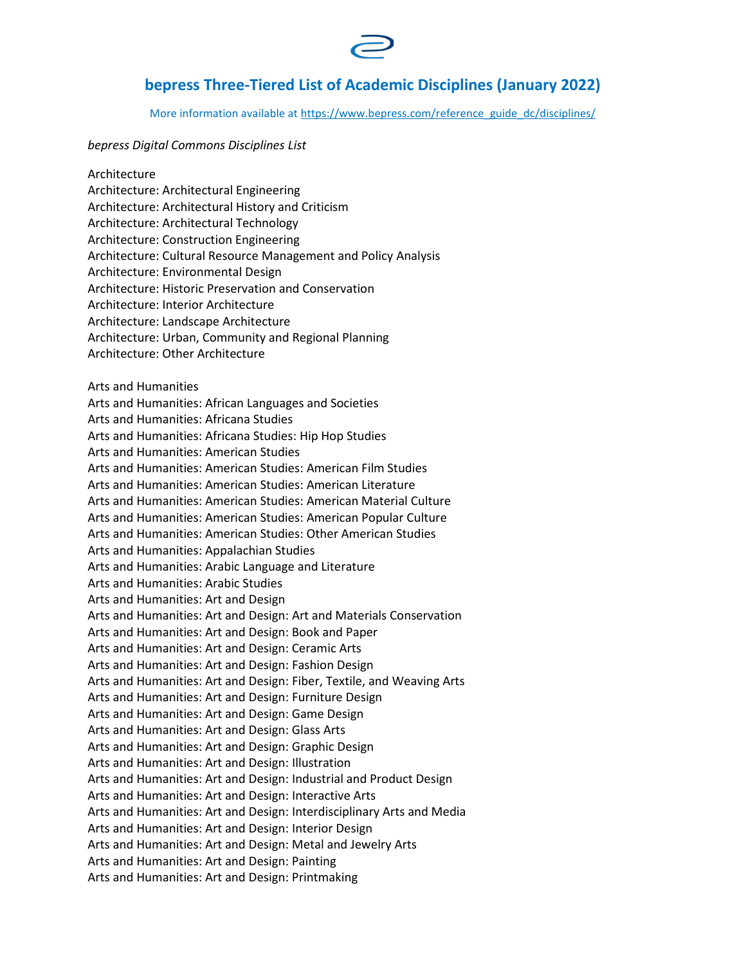

## **bepress Three-Tiered List of Academic Disciplines (January 2022)**

More information available at [https://www.bepress.com/reference\\_guide\\_dc/disciplines/](https://www.bepress.com/reference_guide_dc/disciplines/)

## *bepress Digital Commons Disciplines List*

Architecture Architecture: Architectural Engineering Architecture: Architectural History and Criticism Architecture: Architectural Technology Architecture: Construction Engineering Architecture: Cultural Resource Management and Policy Analysis Architecture: Environmental Design Architecture: Historic Preservation and Conservation Architecture: Interior Architecture Architecture: Landscape Architecture Architecture: Urban, Community and Regional Planning Architecture: Other Architecture Arts and Humanities Arts and Humanities: African Languages and Societies Arts and Humanities: Africana Studies Arts and Humanities: Africana Studies: Hip Hop Studies Arts and Humanities: American Studies Arts and Humanities: American Studies: American Film Studies Arts and Humanities: American Studies: American Literature Arts and Humanities: American Studies: American Material Culture Arts and Humanities: American Studies: American Popular Culture Arts and Humanities: American Studies: Other American Studies Arts and Humanities: Appalachian Studies Arts and Humanities: Arabic Language and Literature Arts and Humanities: Arabic Studies Arts and Humanities: Art and Design Arts and Humanities: Art and Design: Art and Materials Conservation Arts and Humanities: Art and Design: Book and Paper Arts and Humanities: Art and Design: Ceramic Arts Arts and Humanities: Art and Design: Fashion Design Arts and Humanities: Art and Design: Fiber, Textile, and Weaving Arts Arts and Humanities: Art and Design: Furniture Design Arts and Humanities: Art and Design: Game Design Arts and Humanities: Art and Design: Glass Arts Arts and Humanities: Art and Design: Graphic Design Arts and Humanities: Art and Design: Illustration Arts and Humanities: Art and Design: Industrial and Product Design Arts and Humanities: Art and Design: Interactive Arts Arts and Humanities: Art and Design: Interdisciplinary Arts and Media Arts and Humanities: Art and Design: Interior Design Arts and Humanities: Art and Design: Metal and Jewelry Arts Arts and Humanities: Art and Design: Painting Arts and Humanities: Art and Design: Printmaking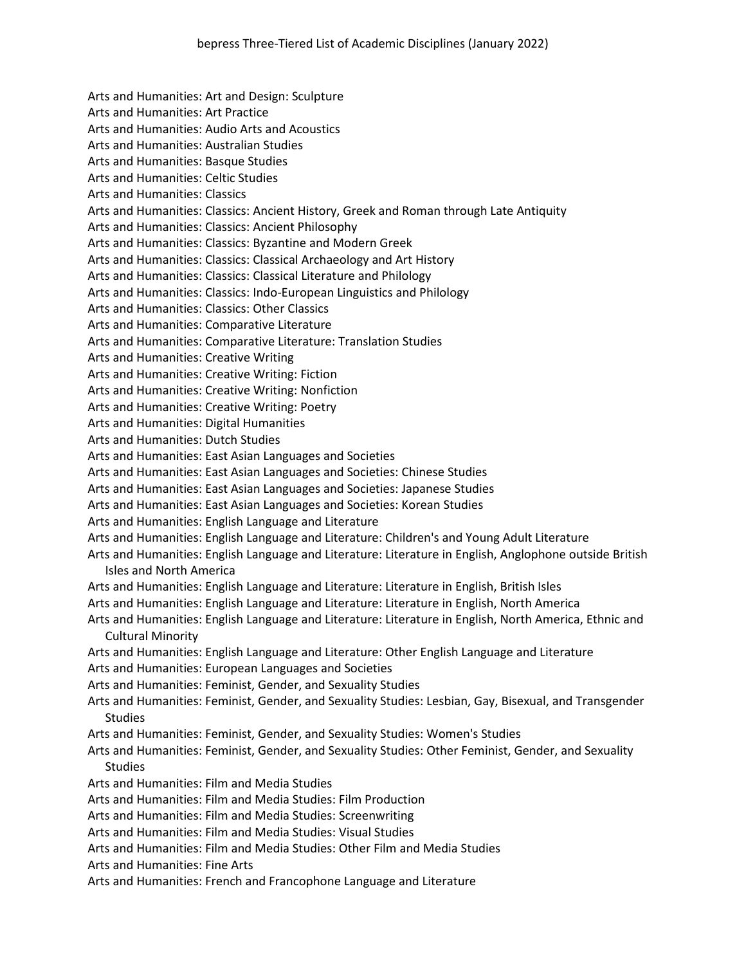Arts and Humanities: Art and Design: Sculpture Arts and Humanities: Art Practice Arts and Humanities: Audio Arts and Acoustics Arts and Humanities: Australian Studies Arts and Humanities: Basque Studies Arts and Humanities: Celtic Studies Arts and Humanities: Classics Arts and Humanities: Classics: Ancient History, Greek and Roman through Late Antiquity Arts and Humanities: Classics: Ancient Philosophy Arts and Humanities: Classics: Byzantine and Modern Greek Arts and Humanities: Classics: Classical Archaeology and Art History Arts and Humanities: Classics: Classical Literature and Philology Arts and Humanities: Classics: Indo-European Linguistics and Philology Arts and Humanities: Classics: Other Classics Arts and Humanities: Comparative Literature Arts and Humanities: Comparative Literature: Translation Studies Arts and Humanities: Creative Writing Arts and Humanities: Creative Writing: Fiction Arts and Humanities: Creative Writing: Nonfiction Arts and Humanities: Creative Writing: Poetry Arts and Humanities: Digital Humanities Arts and Humanities: Dutch Studies Arts and Humanities: East Asian Languages and Societies Arts and Humanities: East Asian Languages and Societies: Chinese Studies Arts and Humanities: East Asian Languages and Societies: Japanese Studies Arts and Humanities: East Asian Languages and Societies: Korean Studies Arts and Humanities: English Language and Literature Arts and Humanities: English Language and Literature: Children's and Young Adult Literature Arts and Humanities: English Language and Literature: Literature in English, Anglophone outside British Isles and North America Arts and Humanities: English Language and Literature: Literature in English, British Isles Arts and Humanities: English Language and Literature: Literature in English, North America Arts and Humanities: English Language and Literature: Literature in English, North America, Ethnic and Cultural Minority Arts and Humanities: English Language and Literature: Other English Language and Literature Arts and Humanities: European Languages and Societies Arts and Humanities: Feminist, Gender, and Sexuality Studies Arts and Humanities: Feminist, Gender, and Sexuality Studies: Lesbian, Gay, Bisexual, and Transgender **Studies** Arts and Humanities: Feminist, Gender, and Sexuality Studies: Women's Studies Arts and Humanities: Feminist, Gender, and Sexuality Studies: Other Feminist, Gender, and Sexuality Studies Arts and Humanities: Film and Media Studies Arts and Humanities: Film and Media Studies: Film Production Arts and Humanities: Film and Media Studies: Screenwriting Arts and Humanities: Film and Media Studies: Visual Studies Arts and Humanities: Film and Media Studies: Other Film and Media Studies Arts and Humanities: Fine Arts Arts and Humanities: French and Francophone Language and Literature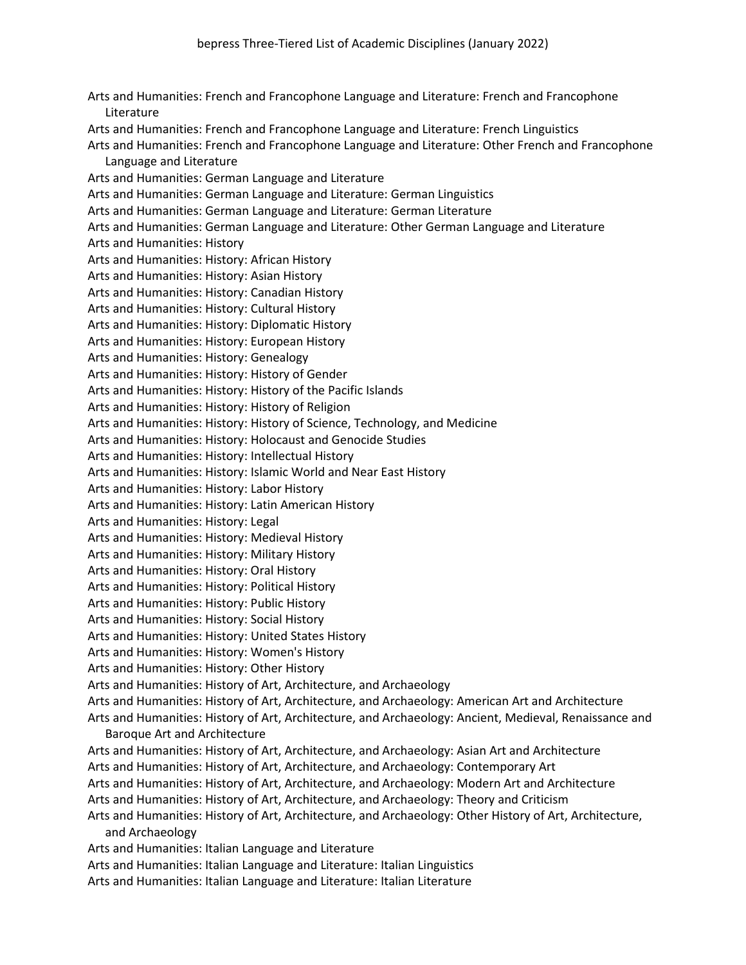Arts and Humanities: French and Francophone Language and Literature: French and Francophone Literature Arts and Humanities: French and Francophone Language and Literature: French Linguistics Arts and Humanities: French and Francophone Language and Literature: Other French and Francophone Language and Literature Arts and Humanities: German Language and Literature Arts and Humanities: German Language and Literature: German Linguistics Arts and Humanities: German Language and Literature: German Literature Arts and Humanities: German Language and Literature: Other German Language and Literature Arts and Humanities: History Arts and Humanities: History: African History Arts and Humanities: History: Asian History Arts and Humanities: History: Canadian History Arts and Humanities: History: Cultural History Arts and Humanities: History: Diplomatic History Arts and Humanities: History: European History Arts and Humanities: History: Genealogy Arts and Humanities: History: History of Gender Arts and Humanities: History: History of the Pacific Islands Arts and Humanities: History: History of Religion Arts and Humanities: History: History of Science, Technology, and Medicine Arts and Humanities: History: Holocaust and Genocide Studies Arts and Humanities: History: Intellectual History Arts and Humanities: History: Islamic World and Near East History Arts and Humanities: History: Labor History Arts and Humanities: History: Latin American History Arts and Humanities: History: Legal Arts and Humanities: History: Medieval History Arts and Humanities: History: Military History Arts and Humanities: History: Oral History Arts and Humanities: History: Political History Arts and Humanities: History: Public History Arts and Humanities: History: Social History Arts and Humanities: History: United States History Arts and Humanities: History: Women's History Arts and Humanities: History: Other History Arts and Humanities: History of Art, Architecture, and Archaeology Arts and Humanities: History of Art, Architecture, and Archaeology: American Art and Architecture Arts and Humanities: History of Art, Architecture, and Archaeology: Ancient, Medieval, Renaissance and Baroque Art and Architecture Arts and Humanities: History of Art, Architecture, and Archaeology: Asian Art and Architecture Arts and Humanities: History of Art, Architecture, and Archaeology: Contemporary Art Arts and Humanities: History of Art, Architecture, and Archaeology: Modern Art and Architecture Arts and Humanities: History of Art, Architecture, and Archaeology: Theory and Criticism Arts and Humanities: History of Art, Architecture, and Archaeology: Other History of Art, Architecture, and Archaeology Arts and Humanities: Italian Language and Literature Arts and Humanities: Italian Language and Literature: Italian Linguistics Arts and Humanities: Italian Language and Literature: Italian Literature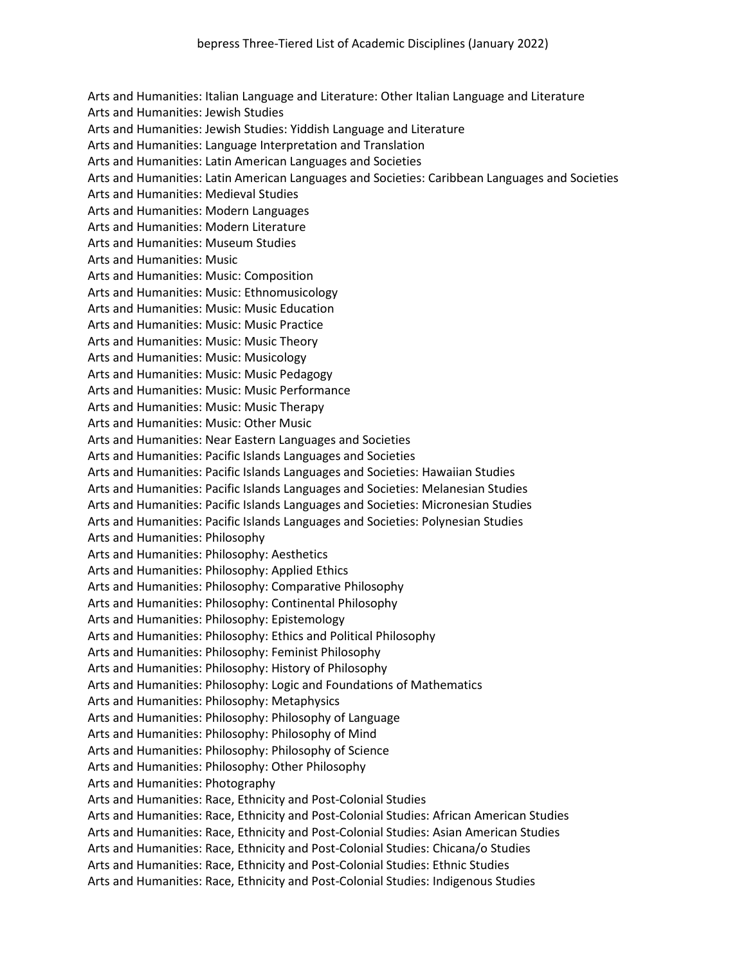Arts and Humanities: Italian Language and Literature: Other Italian Language and Literature Arts and Humanities: Jewish Studies Arts and Humanities: Jewish Studies: Yiddish Language and Literature Arts and Humanities: Language Interpretation and Translation Arts and Humanities: Latin American Languages and Societies Arts and Humanities: Latin American Languages and Societies: Caribbean Languages and Societies Arts and Humanities: Medieval Studies Arts and Humanities: Modern Languages Arts and Humanities: Modern Literature Arts and Humanities: Museum Studies Arts and Humanities: Music Arts and Humanities: Music: Composition Arts and Humanities: Music: Ethnomusicology Arts and Humanities: Music: Music Education Arts and Humanities: Music: Music Practice Arts and Humanities: Music: Music Theory Arts and Humanities: Music: Musicology Arts and Humanities: Music: Music Pedagogy Arts and Humanities: Music: Music Performance Arts and Humanities: Music: Music Therapy Arts and Humanities: Music: Other Music Arts and Humanities: Near Eastern Languages and Societies Arts and Humanities: Pacific Islands Languages and Societies Arts and Humanities: Pacific Islands Languages and Societies: Hawaiian Studies Arts and Humanities: Pacific Islands Languages and Societies: Melanesian Studies Arts and Humanities: Pacific Islands Languages and Societies: Micronesian Studies Arts and Humanities: Pacific Islands Languages and Societies: Polynesian Studies Arts and Humanities: Philosophy Arts and Humanities: Philosophy: Aesthetics Arts and Humanities: Philosophy: Applied Ethics Arts and Humanities: Philosophy: Comparative Philosophy Arts and Humanities: Philosophy: Continental Philosophy Arts and Humanities: Philosophy: Epistemology Arts and Humanities: Philosophy: Ethics and Political Philosophy Arts and Humanities: Philosophy: Feminist Philosophy Arts and Humanities: Philosophy: History of Philosophy Arts and Humanities: Philosophy: Logic and Foundations of Mathematics Arts and Humanities: Philosophy: Metaphysics Arts and Humanities: Philosophy: Philosophy of Language Arts and Humanities: Philosophy: Philosophy of Mind Arts and Humanities: Philosophy: Philosophy of Science Arts and Humanities: Philosophy: Other Philosophy Arts and Humanities: Photography Arts and Humanities: Race, Ethnicity and Post-Colonial Studies Arts and Humanities: Race, Ethnicity and Post-Colonial Studies: African American Studies Arts and Humanities: Race, Ethnicity and Post-Colonial Studies: Asian American Studies Arts and Humanities: Race, Ethnicity and Post-Colonial Studies: Chicana/o Studies Arts and Humanities: Race, Ethnicity and Post-Colonial Studies: Ethnic Studies Arts and Humanities: Race, Ethnicity and Post-Colonial Studies: Indigenous Studies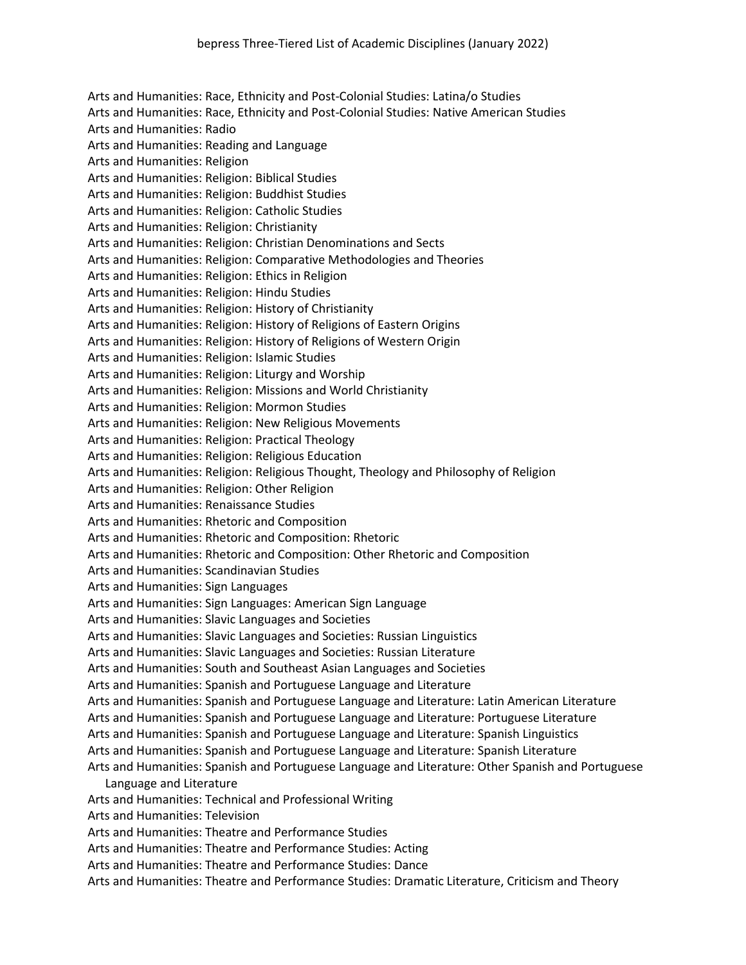Arts and Humanities: Race, Ethnicity and Post-Colonial Studies: Latina/o Studies Arts and Humanities: Race, Ethnicity and Post-Colonial Studies: Native American Studies Arts and Humanities: Radio Arts and Humanities: Reading and Language Arts and Humanities: Religion Arts and Humanities: Religion: Biblical Studies Arts and Humanities: Religion: Buddhist Studies Arts and Humanities: Religion: Catholic Studies Arts and Humanities: Religion: Christianity Arts and Humanities: Religion: Christian Denominations and Sects Arts and Humanities: Religion: Comparative Methodologies and Theories Arts and Humanities: Religion: Ethics in Religion Arts and Humanities: Religion: Hindu Studies Arts and Humanities: Religion: History of Christianity Arts and Humanities: Religion: History of Religions of Eastern Origins Arts and Humanities: Religion: History of Religions of Western Origin Arts and Humanities: Religion: Islamic Studies Arts and Humanities: Religion: Liturgy and Worship Arts and Humanities: Religion: Missions and World Christianity Arts and Humanities: Religion: Mormon Studies Arts and Humanities: Religion: New Religious Movements Arts and Humanities: Religion: Practical Theology Arts and Humanities: Religion: Religious Education Arts and Humanities: Religion: Religious Thought, Theology and Philosophy of Religion Arts and Humanities: Religion: Other Religion Arts and Humanities: Renaissance Studies Arts and Humanities: Rhetoric and Composition Arts and Humanities: Rhetoric and Composition: Rhetoric Arts and Humanities: Rhetoric and Composition: Other Rhetoric and Composition Arts and Humanities: Scandinavian Studies Arts and Humanities: Sign Languages Arts and Humanities: Sign Languages: American Sign Language Arts and Humanities: Slavic Languages and Societies Arts and Humanities: Slavic Languages and Societies: Russian Linguistics Arts and Humanities: Slavic Languages and Societies: Russian Literature Arts and Humanities: South and Southeast Asian Languages and Societies Arts and Humanities: Spanish and Portuguese Language and Literature Arts and Humanities: Spanish and Portuguese Language and Literature: Latin American Literature Arts and Humanities: Spanish and Portuguese Language and Literature: Portuguese Literature Arts and Humanities: Spanish and Portuguese Language and Literature: Spanish Linguistics Arts and Humanities: Spanish and Portuguese Language and Literature: Spanish Literature Arts and Humanities: Spanish and Portuguese Language and Literature: Other Spanish and Portuguese Language and Literature Arts and Humanities: Technical and Professional Writing Arts and Humanities: Television Arts and Humanities: Theatre and Performance Studies Arts and Humanities: Theatre and Performance Studies: Acting Arts and Humanities: Theatre and Performance Studies: Dance Arts and Humanities: Theatre and Performance Studies: Dramatic Literature, Criticism and Theory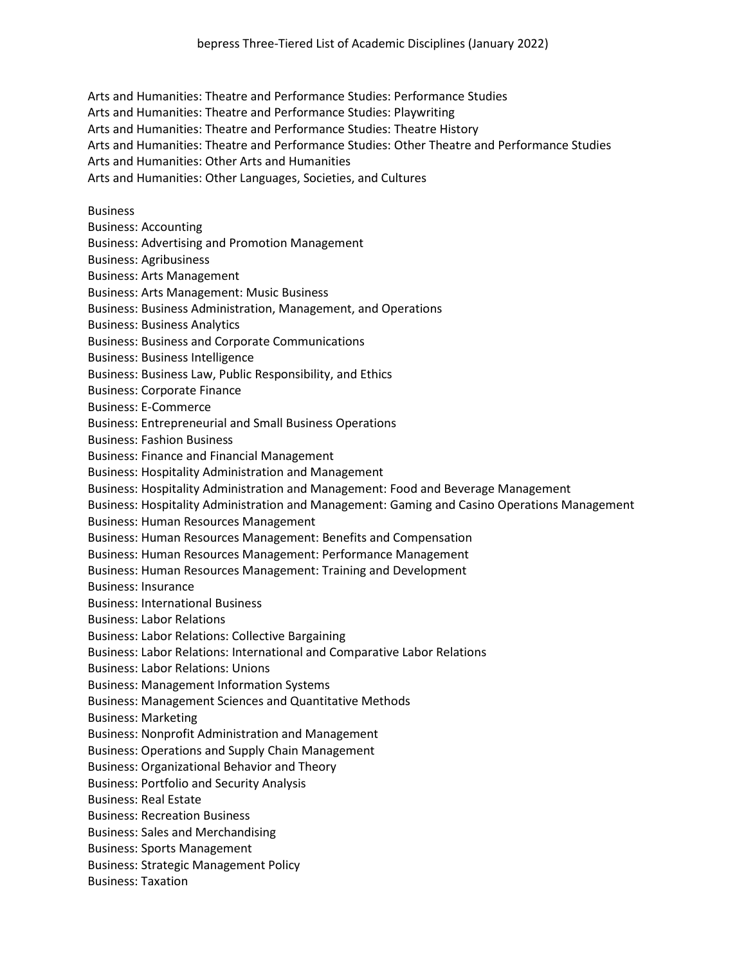Arts and Humanities: Theatre and Performance Studies: Performance Studies

Arts and Humanities: Theatre and Performance Studies: Playwriting

Arts and Humanities: Theatre and Performance Studies: Theatre History

Arts and Humanities: Theatre and Performance Studies: Other Theatre and Performance Studies

Arts and Humanities: Other Arts and Humanities

Arts and Humanities: Other Languages, Societies, and Cultures

## **Business**

- Business: Accounting
- Business: Advertising and Promotion Management
- Business: Agribusiness
- Business: Arts Management
- Business: Arts Management: Music Business
- Business: Business Administration, Management, and Operations
- Business: Business Analytics
- Business: Business and Corporate Communications
- Business: Business Intelligence
- Business: Business Law, Public Responsibility, and Ethics
- Business: Corporate Finance
- Business: E-Commerce
- Business: Entrepreneurial and Small Business Operations
- Business: Fashion Business
- Business: Finance and Financial Management
- Business: Hospitality Administration and Management
- Business: Hospitality Administration and Management: Food and Beverage Management
- Business: Hospitality Administration and Management: Gaming and Casino Operations Management
- Business: Human Resources Management
- Business: Human Resources Management: Benefits and Compensation
- Business: Human Resources Management: Performance Management
- Business: Human Resources Management: Training and Development
- Business: Insurance
- Business: International Business
- Business: Labor Relations
- Business: Labor Relations: Collective Bargaining
- Business: Labor Relations: International and Comparative Labor Relations
- Business: Labor Relations: Unions
- Business: Management Information Systems
- Business: Management Sciences and Quantitative Methods
- Business: Marketing
- Business: Nonprofit Administration and Management
- Business: Operations and Supply Chain Management
- Business: Organizational Behavior and Theory
- Business: Portfolio and Security Analysis
- Business: Real Estate
- Business: Recreation Business
- Business: Sales and Merchandising
- Business: Sports Management
- Business: Strategic Management Policy
- Business: Taxation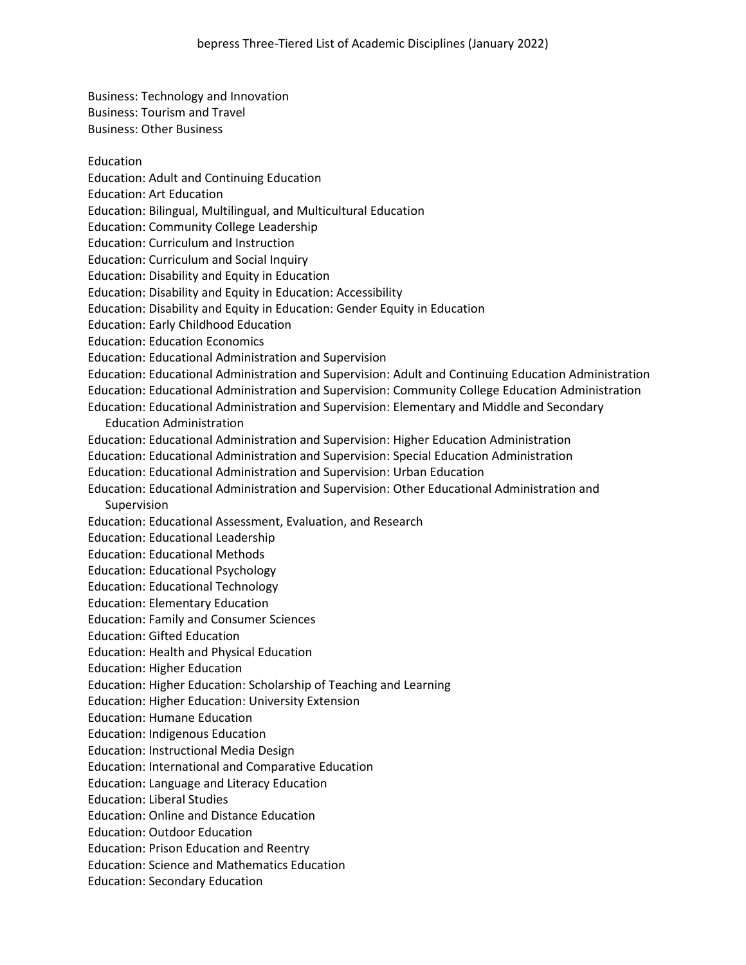Business: Technology and Innovation Business: Tourism and Travel Business: Other Business

Education

## Education: Adult and Continuing Education

Education: Art Education

Education: Bilingual, Multilingual, and Multicultural Education

Education: Community College Leadership

Education: Curriculum and Instruction

Education: Curriculum and Social Inquiry

Education: Disability and Equity in Education

Education: Disability and Equity in Education: Accessibility

Education: Disability and Equity in Education: Gender Equity in Education

Education: Early Childhood Education

Education: Education Economics

Education: Educational Administration and Supervision

Education: Educational Administration and Supervision: Adult and Continuing Education Administration

- Education: Educational Administration and Supervision: Community College Education Administration
- Education: Educational Administration and Supervision: Elementary and Middle and Secondary Education Administration
- Education: Educational Administration and Supervision: Higher Education Administration
- Education: Educational Administration and Supervision: Special Education Administration
- Education: Educational Administration and Supervision: Urban Education
- Education: Educational Administration and Supervision: Other Educational Administration and Supervision
- Education: Educational Assessment, Evaluation, and Research
- Education: Educational Leadership

Education: Educational Methods

- Education: Educational Psychology
- Education: Educational Technology
- Education: Elementary Education

Education: Family and Consumer Sciences

Education: Gifted Education

- Education: Health and Physical Education
- Education: Higher Education
- Education: Higher Education: Scholarship of Teaching and Learning

Education: Higher Education: University Extension

Education: Humane Education

Education: Indigenous Education

Education: Instructional Media Design

Education: International and Comparative Education

Education: Language and Literacy Education

Education: Liberal Studies

Education: Online and Distance Education

- Education: Outdoor Education
- Education: Prison Education and Reentry

Education: Science and Mathematics Education

Education: Secondary Education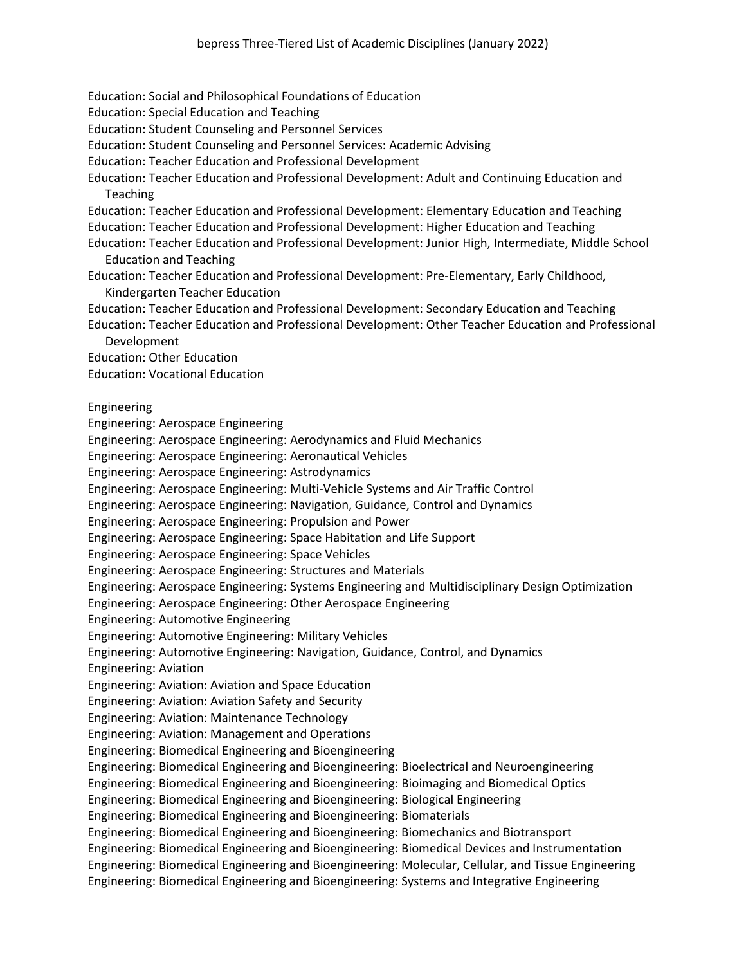- Education: Social and Philosophical Foundations of Education
- Education: Special Education and Teaching
- Education: Student Counseling and Personnel Services
- Education: Student Counseling and Personnel Services: Academic Advising
- Education: Teacher Education and Professional Development
- Education: Teacher Education and Professional Development: Adult and Continuing Education and Teaching
- Education: Teacher Education and Professional Development: Elementary Education and Teaching
- Education: Teacher Education and Professional Development: Higher Education and Teaching
- Education: Teacher Education and Professional Development: Junior High, Intermediate, Middle School Education and Teaching
- Education: Teacher Education and Professional Development: Pre-Elementary, Early Childhood, Kindergarten Teacher Education
- Education: Teacher Education and Professional Development: Secondary Education and Teaching
- Education: Teacher Education and Professional Development: Other Teacher Education and Professional Development
- Education: Other Education
- Education: Vocational Education
- Engineering
- Engineering: Aerospace Engineering
- Engineering: Aerospace Engineering: Aerodynamics and Fluid Mechanics
- Engineering: Aerospace Engineering: Aeronautical Vehicles
- Engineering: Aerospace Engineering: Astrodynamics
- Engineering: Aerospace Engineering: Multi-Vehicle Systems and Air Traffic Control
- Engineering: Aerospace Engineering: Navigation, Guidance, Control and Dynamics
- Engineering: Aerospace Engineering: Propulsion and Power
- Engineering: Aerospace Engineering: Space Habitation and Life Support
- Engineering: Aerospace Engineering: Space Vehicles
- Engineering: Aerospace Engineering: Structures and Materials
- Engineering: Aerospace Engineering: Systems Engineering and Multidisciplinary Design Optimization
- Engineering: Aerospace Engineering: Other Aerospace Engineering
- Engineering: Automotive Engineering
- Engineering: Automotive Engineering: Military Vehicles
- Engineering: Automotive Engineering: Navigation, Guidance, Control, and Dynamics
- Engineering: Aviation
- Engineering: Aviation: Aviation and Space Education
- Engineering: Aviation: Aviation Safety and Security
- Engineering: Aviation: Maintenance Technology
- Engineering: Aviation: Management and Operations
- Engineering: Biomedical Engineering and Bioengineering
- Engineering: Biomedical Engineering and Bioengineering: Bioelectrical and Neuroengineering
- Engineering: Biomedical Engineering and Bioengineering: Bioimaging and Biomedical Optics
- Engineering: Biomedical Engineering and Bioengineering: Biological Engineering
- Engineering: Biomedical Engineering and Bioengineering: Biomaterials
- Engineering: Biomedical Engineering and Bioengineering: Biomechanics and Biotransport
- Engineering: Biomedical Engineering and Bioengineering: Biomedical Devices and Instrumentation
- Engineering: Biomedical Engineering and Bioengineering: Molecular, Cellular, and Tissue Engineering
- Engineering: Biomedical Engineering and Bioengineering: Systems and Integrative Engineering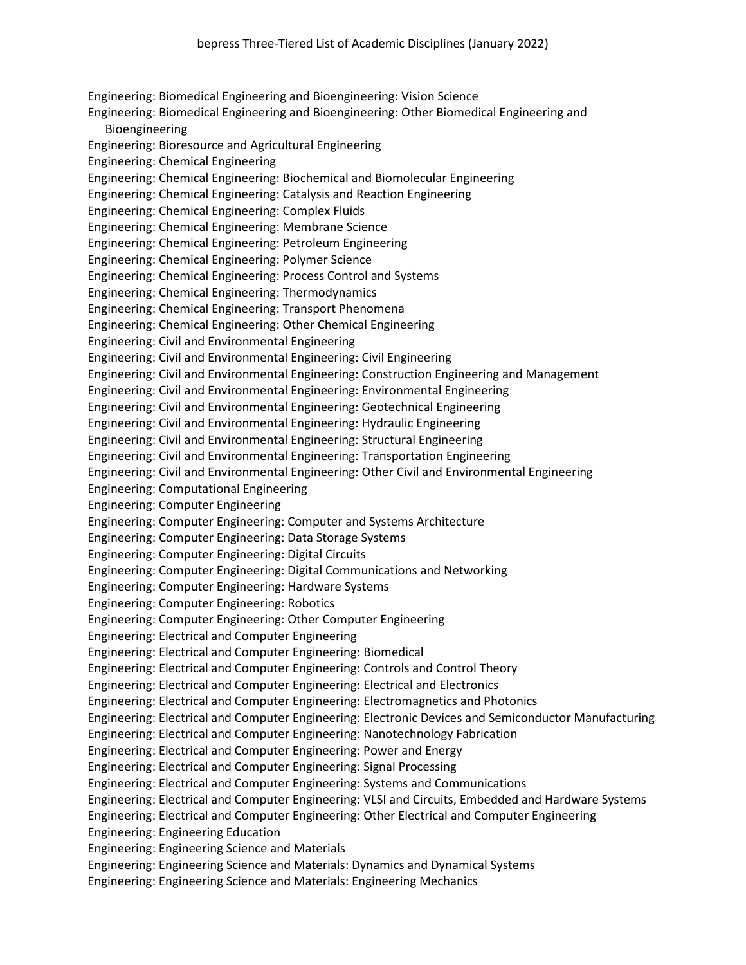Engineering: Biomedical Engineering and Bioengineering: Vision Science Engineering: Biomedical Engineering and Bioengineering: Other Biomedical Engineering and Bioengineering Engineering: Bioresource and Agricultural Engineering Engineering: Chemical Engineering Engineering: Chemical Engineering: Biochemical and Biomolecular Engineering Engineering: Chemical Engineering: Catalysis and Reaction Engineering Engineering: Chemical Engineering: Complex Fluids Engineering: Chemical Engineering: Membrane Science Engineering: Chemical Engineering: Petroleum Engineering Engineering: Chemical Engineering: Polymer Science Engineering: Chemical Engineering: Process Control and Systems Engineering: Chemical Engineering: Thermodynamics Engineering: Chemical Engineering: Transport Phenomena Engineering: Chemical Engineering: Other Chemical Engineering Engineering: Civil and Environmental Engineering Engineering: Civil and Environmental Engineering: Civil Engineering Engineering: Civil and Environmental Engineering: Construction Engineering and Management Engineering: Civil and Environmental Engineering: Environmental Engineering Engineering: Civil and Environmental Engineering: Geotechnical Engineering Engineering: Civil and Environmental Engineering: Hydraulic Engineering Engineering: Civil and Environmental Engineering: Structural Engineering Engineering: Civil and Environmental Engineering: Transportation Engineering Engineering: Civil and Environmental Engineering: Other Civil and Environmental Engineering Engineering: Computational Engineering Engineering: Computer Engineering Engineering: Computer Engineering: Computer and Systems Architecture Engineering: Computer Engineering: Data Storage Systems Engineering: Computer Engineering: Digital Circuits Engineering: Computer Engineering: Digital Communications and Networking Engineering: Computer Engineering: Hardware Systems Engineering: Computer Engineering: Robotics Engineering: Computer Engineering: Other Computer Engineering Engineering: Electrical and Computer Engineering Engineering: Electrical and Computer Engineering: Biomedical Engineering: Electrical and Computer Engineering: Controls and Control Theory Engineering: Electrical and Computer Engineering: Electrical and Electronics Engineering: Electrical and Computer Engineering: Electromagnetics and Photonics Engineering: Electrical and Computer Engineering: Electronic Devices and Semiconductor Manufacturing Engineering: Electrical and Computer Engineering: Nanotechnology Fabrication Engineering: Electrical and Computer Engineering: Power and Energy Engineering: Electrical and Computer Engineering: Signal Processing Engineering: Electrical and Computer Engineering: Systems and Communications Engineering: Electrical and Computer Engineering: VLSI and Circuits, Embedded and Hardware Systems Engineering: Electrical and Computer Engineering: Other Electrical and Computer Engineering Engineering: Engineering Education Engineering: Engineering Science and Materials Engineering: Engineering Science and Materials: Dynamics and Dynamical Systems Engineering: Engineering Science and Materials: Engineering Mechanics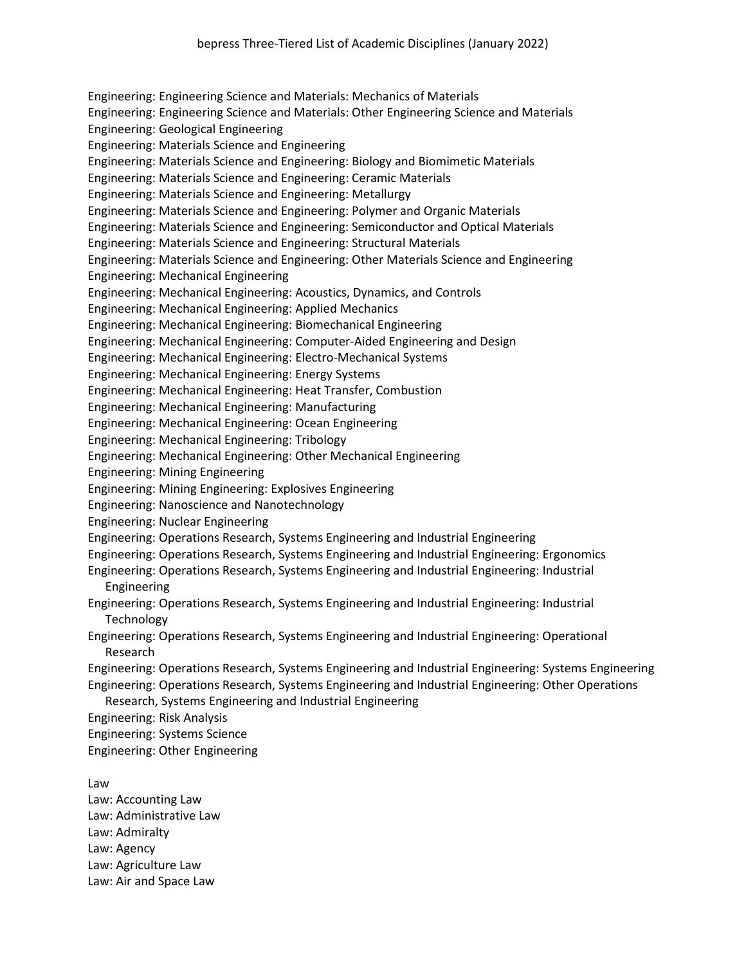Engineering: Engineering Science and Materials: Mechanics of Materials Engineering: Engineering Science and Materials: Other Engineering Science and Materials Engineering: Geological Engineering Engineering: Materials Science and Engineering Engineering: Materials Science and Engineering: Biology and Biomimetic Materials Engineering: Materials Science and Engineering: Ceramic Materials Engineering: Materials Science and Engineering: Metallurgy Engineering: Materials Science and Engineering: Polymer and Organic Materials Engineering: Materials Science and Engineering: Semiconductor and Optical Materials Engineering: Materials Science and Engineering: Structural Materials Engineering: Materials Science and Engineering: Other Materials Science and Engineering Engineering: Mechanical Engineering Engineering: Mechanical Engineering: Acoustics, Dynamics, and Controls Engineering: Mechanical Engineering: Applied Mechanics Engineering: Mechanical Engineering: Biomechanical Engineering Engineering: Mechanical Engineering: Computer-Aided Engineering and Design Engineering: Mechanical Engineering: Electro-Mechanical Systems Engineering: Mechanical Engineering: Energy Systems Engineering: Mechanical Engineering: Heat Transfer, Combustion Engineering: Mechanical Engineering: Manufacturing Engineering: Mechanical Engineering: Ocean Engineering Engineering: Mechanical Engineering: Tribology Engineering: Mechanical Engineering: Other Mechanical Engineering Engineering: Mining Engineering Engineering: Mining Engineering: Explosives Engineering Engineering: Nanoscience and Nanotechnology Engineering: Nuclear Engineering Engineering: Operations Research, Systems Engineering and Industrial Engineering Engineering: Operations Research, Systems Engineering and Industrial Engineering: Ergonomics Engineering: Operations Research, Systems Engineering and Industrial Engineering: Industrial Engineering Engineering: Operations Research, Systems Engineering and Industrial Engineering: Industrial **Technology** Engineering: Operations Research, Systems Engineering and Industrial Engineering: Operational Research Engineering: Operations Research, Systems Engineering and Industrial Engineering: Systems Engineering Engineering: Operations Research, Systems Engineering and Industrial Engineering: Other Operations Research, Systems Engineering and Industrial Engineering Engineering: Risk Analysis Engineering: Systems Science Engineering: Other Engineering

Law

Law: Accounting Law Law: Administrative Law Law: Admiralty Law: Agency Law: Agriculture Law Law: Air and Space Law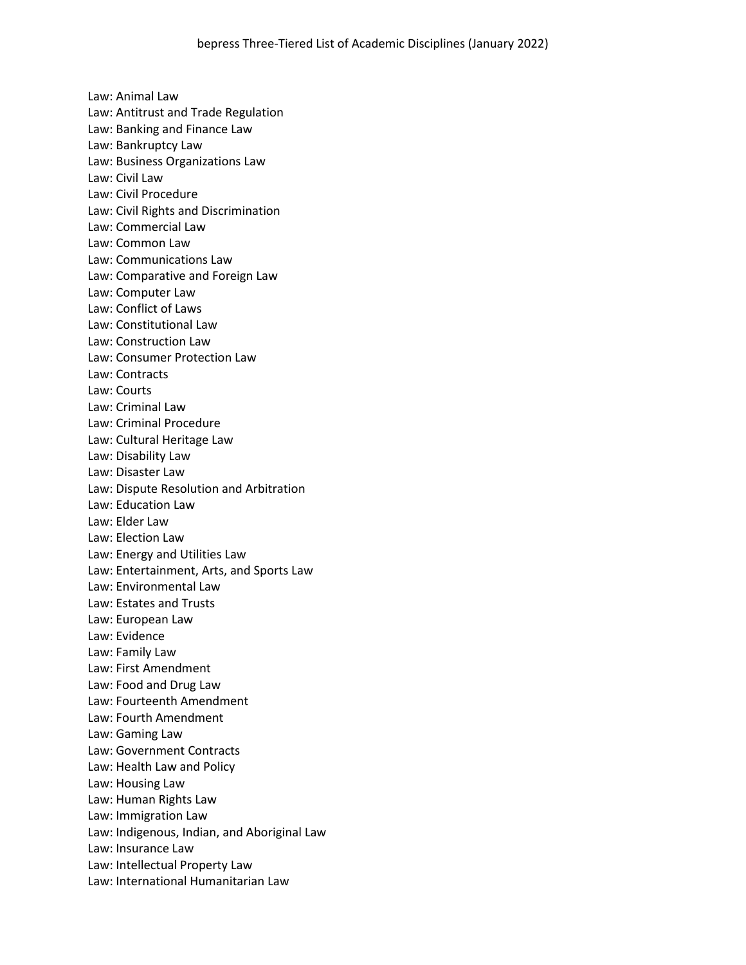Law: Animal Law Law: Antitrust and Trade Regulation Law: Banking and Finance Law Law: Bankruptcy Law Law: Business Organizations Law Law: Civil Law Law: Civil Procedure Law: Civil Rights and Discrimination Law: Commercial Law Law: Common Law Law: Communications Law Law: Comparative and Foreign Law Law: Computer Law Law: Conflict of Laws Law: Constitutional Law Law: Construction Law Law: Consumer Protection Law Law: Contracts Law: Courts Law: Criminal Law Law: Criminal Procedure Law: Cultural Heritage Law Law: Disability Law Law: Disaster Law Law: Dispute Resolution and Arbitration Law: Education Law Law: Elder Law Law: Election Law Law: Energy and Utilities Law Law: Entertainment, Arts, and Sports Law Law: Environmental Law Law: Estates and Trusts Law: European Law Law: Evidence Law: Family Law Law: First Amendment Law: Food and Drug Law Law: Fourteenth Amendment Law: Fourth Amendment Law: Gaming Law Law: Government Contracts Law: Health Law and Policy Law: Housing Law Law: Human Rights Law Law: Immigration Law Law: Indigenous, Indian, and Aboriginal Law Law: Insurance Law Law: Intellectual Property Law Law: International Humanitarian Law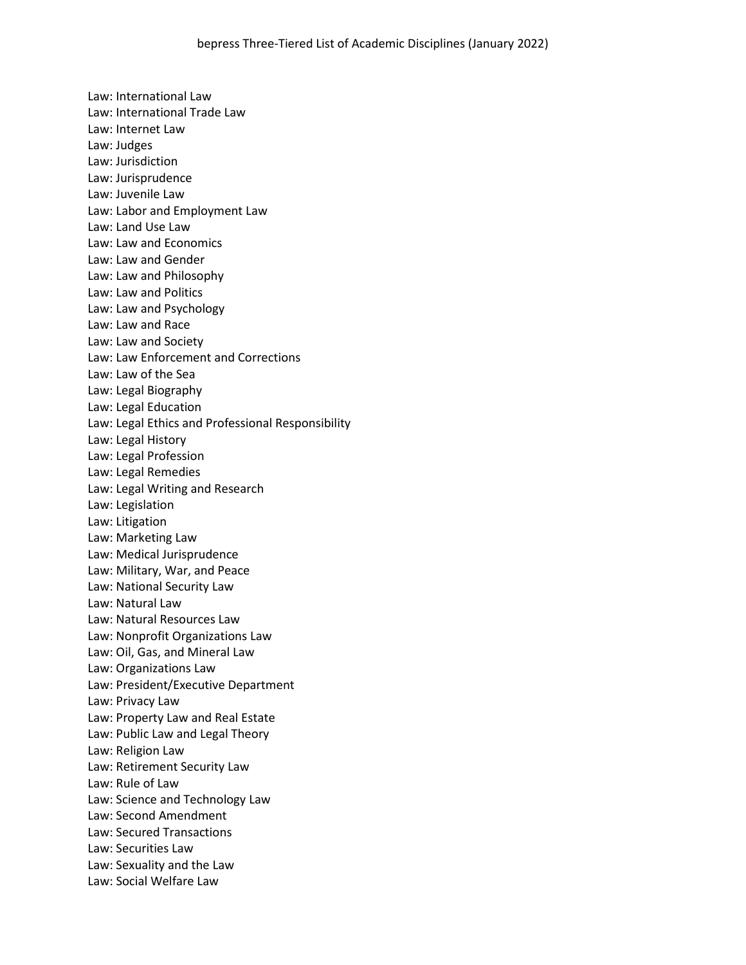Law: International Law Law: International Trade Law Law: Internet Law Law: Judges Law: Jurisdiction Law: Jurisprudence Law: Juvenile Law Law: Labor and Employment Law Law: Land Use Law Law: Law and Economics Law: Law and Gender Law: Law and Philosophy Law: Law and Politics Law: Law and Psychology Law: Law and Race Law: Law and Society Law: Law Enforcement and Corrections Law: Law of the Sea Law: Legal Biography Law: Legal Education Law: Legal Ethics and Professional Responsibility Law: Legal History Law: Legal Profession Law: Legal Remedies Law: Legal Writing and Research Law: Legislation Law: Litigation Law: Marketing Law Law: Medical Jurisprudence Law: Military, War, and Peace Law: National Security Law Law: Natural Law Law: Natural Resources Law Law: Nonprofit Organizations Law Law: Oil, Gas, and Mineral Law Law: Organizations Law Law: President/Executive Department Law: Privacy Law Law: Property Law and Real Estate Law: Public Law and Legal Theory Law: Religion Law Law: Retirement Security Law Law: Rule of Law Law: Science and Technology Law Law: Second Amendment Law: Secured Transactions Law: Securities Law Law: Sexuality and the Law Law: Social Welfare Law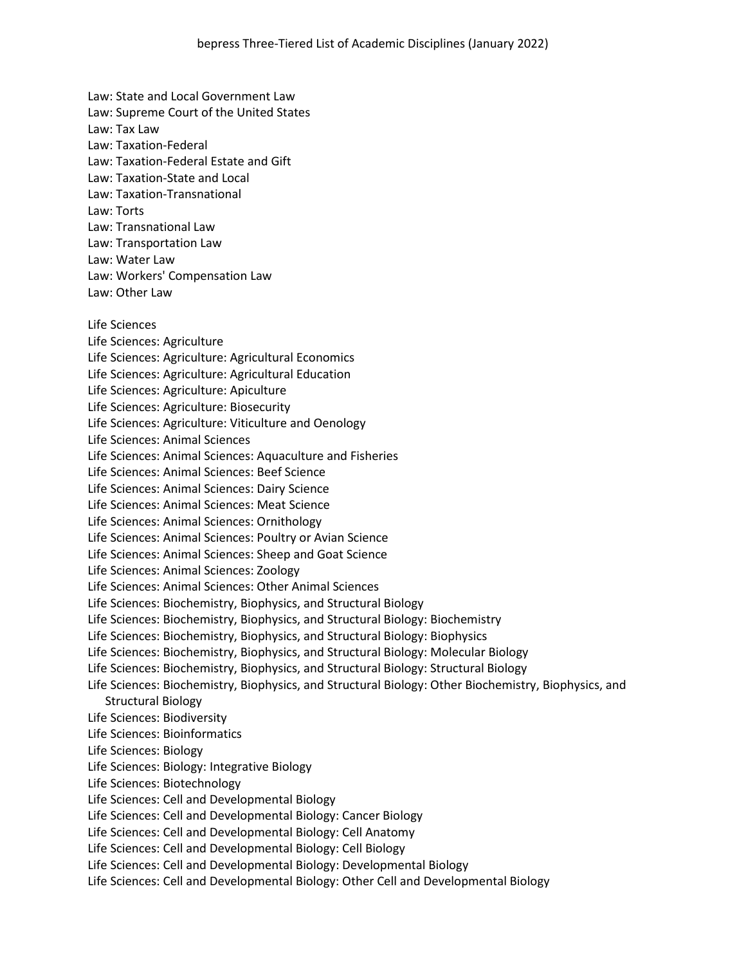Law: State and Local Government Law Law: Supreme Court of the United States Law: Tax Law Law: Taxation-Federal Law: Taxation-Federal Estate and Gift Law: Taxation-State and Local Law: Taxation-Transnational Law: Torts Law: Transnational Law Law: Transportation Law Law: Water Law Law: Workers' Compensation Law Law: Other Law Life Sciences Life Sciences: Agriculture Life Sciences: Agriculture: Agricultural Economics Life Sciences: Agriculture: Agricultural Education Life Sciences: Agriculture: Apiculture Life Sciences: Agriculture: Biosecurity Life Sciences: Agriculture: Viticulture and Oenology Life Sciences: Animal Sciences Life Sciences: Animal Sciences: Aquaculture and Fisheries Life Sciences: Animal Sciences: Beef Science Life Sciences: Animal Sciences: Dairy Science Life Sciences: Animal Sciences: Meat Science Life Sciences: Animal Sciences: Ornithology Life Sciences: Animal Sciences: Poultry or Avian Science Life Sciences: Animal Sciences: Sheep and Goat Science Life Sciences: Animal Sciences: Zoology Life Sciences: Animal Sciences: Other Animal Sciences Life Sciences: Biochemistry, Biophysics, and Structural Biology Life Sciences: Biochemistry, Biophysics, and Structural Biology: Biochemistry Life Sciences: Biochemistry, Biophysics, and Structural Biology: Biophysics Life Sciences: Biochemistry, Biophysics, and Structural Biology: Molecular Biology Life Sciences: Biochemistry, Biophysics, and Structural Biology: Structural Biology Life Sciences: Biochemistry, Biophysics, and Structural Biology: Other Biochemistry, Biophysics, and Structural Biology Life Sciences: Biodiversity Life Sciences: Bioinformatics Life Sciences: Biology Life Sciences: Biology: Integrative Biology Life Sciences: Biotechnology Life Sciences: Cell and Developmental Biology Life Sciences: Cell and Developmental Biology: Cancer Biology Life Sciences: Cell and Developmental Biology: Cell Anatomy Life Sciences: Cell and Developmental Biology: Cell Biology Life Sciences: Cell and Developmental Biology: Developmental Biology Life Sciences: Cell and Developmental Biology: Other Cell and Developmental Biology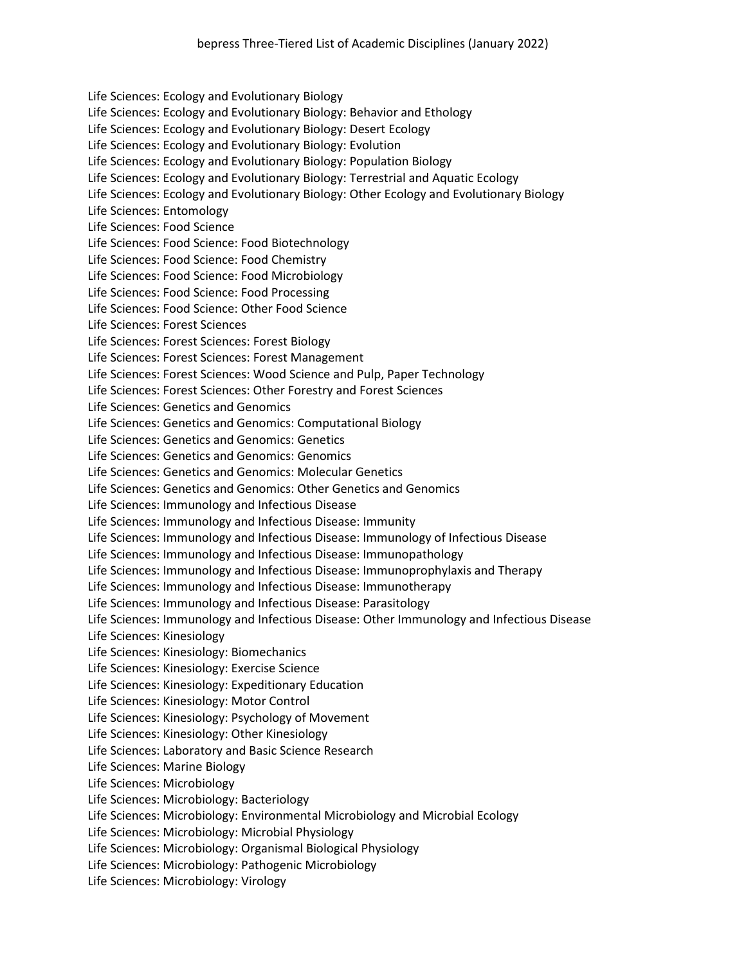Life Sciences: Ecology and Evolutionary Biology Life Sciences: Ecology and Evolutionary Biology: Behavior and Ethology Life Sciences: Ecology and Evolutionary Biology: Desert Ecology Life Sciences: Ecology and Evolutionary Biology: Evolution Life Sciences: Ecology and Evolutionary Biology: Population Biology Life Sciences: Ecology and Evolutionary Biology: Terrestrial and Aquatic Ecology Life Sciences: Ecology and Evolutionary Biology: Other Ecology and Evolutionary Biology Life Sciences: Entomology Life Sciences: Food Science Life Sciences: Food Science: Food Biotechnology Life Sciences: Food Science: Food Chemistry Life Sciences: Food Science: Food Microbiology Life Sciences: Food Science: Food Processing Life Sciences: Food Science: Other Food Science Life Sciences: Forest Sciences Life Sciences: Forest Sciences: Forest Biology Life Sciences: Forest Sciences: Forest Management Life Sciences: Forest Sciences: Wood Science and Pulp, Paper Technology Life Sciences: Forest Sciences: Other Forestry and Forest Sciences Life Sciences: Genetics and Genomics Life Sciences: Genetics and Genomics: Computational Biology Life Sciences: Genetics and Genomics: Genetics Life Sciences: Genetics and Genomics: Genomics Life Sciences: Genetics and Genomics: Molecular Genetics Life Sciences: Genetics and Genomics: Other Genetics and Genomics Life Sciences: Immunology and Infectious Disease Life Sciences: Immunology and Infectious Disease: Immunity Life Sciences: Immunology and Infectious Disease: Immunology of Infectious Disease Life Sciences: Immunology and Infectious Disease: Immunopathology Life Sciences: Immunology and Infectious Disease: Immunoprophylaxis and Therapy Life Sciences: Immunology and Infectious Disease: Immunotherapy Life Sciences: Immunology and Infectious Disease: Parasitology Life Sciences: Immunology and Infectious Disease: Other Immunology and Infectious Disease Life Sciences: Kinesiology Life Sciences: Kinesiology: Biomechanics Life Sciences: Kinesiology: Exercise Science Life Sciences: Kinesiology: Expeditionary Education Life Sciences: Kinesiology: Motor Control Life Sciences: Kinesiology: Psychology of Movement Life Sciences: Kinesiology: Other Kinesiology Life Sciences: Laboratory and Basic Science Research Life Sciences: Marine Biology Life Sciences: Microbiology Life Sciences: Microbiology: Bacteriology Life Sciences: Microbiology: Environmental Microbiology and Microbial Ecology Life Sciences: Microbiology: Microbial Physiology Life Sciences: Microbiology: Organismal Biological Physiology Life Sciences: Microbiology: Pathogenic Microbiology Life Sciences: Microbiology: Virology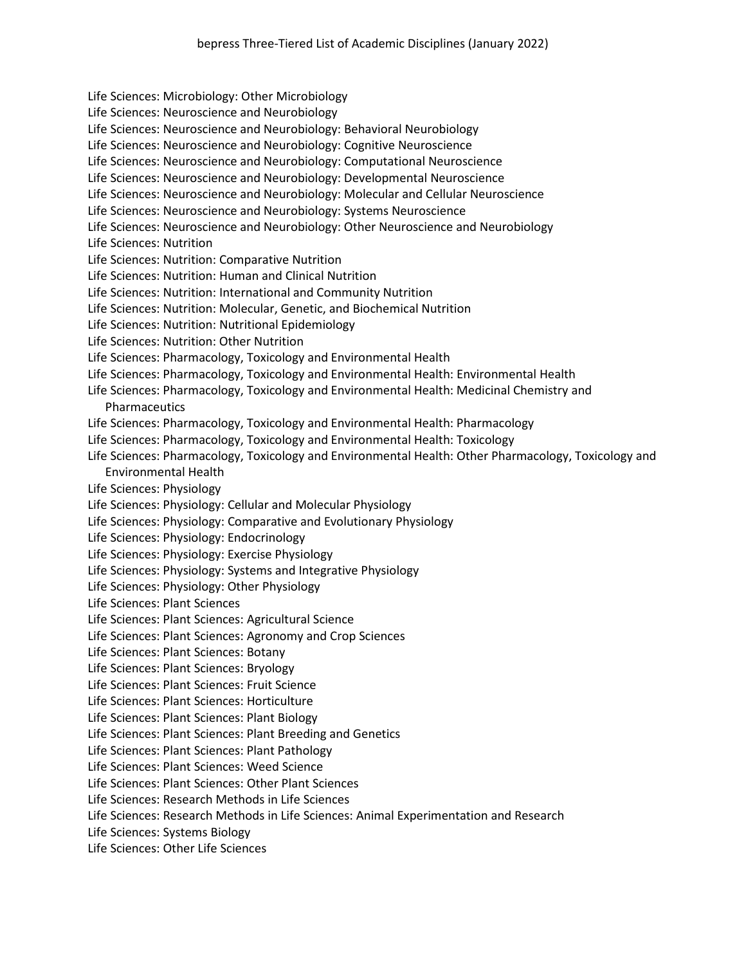Life Sciences: Microbiology: Other Microbiology Life Sciences: Neuroscience and Neurobiology Life Sciences: Neuroscience and Neurobiology: Behavioral Neurobiology Life Sciences: Neuroscience and Neurobiology: Cognitive Neuroscience Life Sciences: Neuroscience and Neurobiology: Computational Neuroscience Life Sciences: Neuroscience and Neurobiology: Developmental Neuroscience Life Sciences: Neuroscience and Neurobiology: Molecular and Cellular Neuroscience Life Sciences: Neuroscience and Neurobiology: Systems Neuroscience Life Sciences: Neuroscience and Neurobiology: Other Neuroscience and Neurobiology Life Sciences: Nutrition Life Sciences: Nutrition: Comparative Nutrition Life Sciences: Nutrition: Human and Clinical Nutrition Life Sciences: Nutrition: International and Community Nutrition Life Sciences: Nutrition: Molecular, Genetic, and Biochemical Nutrition Life Sciences: Nutrition: Nutritional Epidemiology Life Sciences: Nutrition: Other Nutrition Life Sciences: Pharmacology, Toxicology and Environmental Health Life Sciences: Pharmacology, Toxicology and Environmental Health: Environmental Health Life Sciences: Pharmacology, Toxicology and Environmental Health: Medicinal Chemistry and **Pharmaceutics** Life Sciences: Pharmacology, Toxicology and Environmental Health: Pharmacology Life Sciences: Pharmacology, Toxicology and Environmental Health: Toxicology Life Sciences: Pharmacology, Toxicology and Environmental Health: Other Pharmacology, Toxicology and Environmental Health Life Sciences: Physiology Life Sciences: Physiology: Cellular and Molecular Physiology Life Sciences: Physiology: Comparative and Evolutionary Physiology Life Sciences: Physiology: Endocrinology Life Sciences: Physiology: Exercise Physiology Life Sciences: Physiology: Systems and Integrative Physiology Life Sciences: Physiology: Other Physiology Life Sciences: Plant Sciences Life Sciences: Plant Sciences: Agricultural Science Life Sciences: Plant Sciences: Agronomy and Crop Sciences Life Sciences: Plant Sciences: Botany Life Sciences: Plant Sciences: Bryology Life Sciences: Plant Sciences: Fruit Science Life Sciences: Plant Sciences: Horticulture Life Sciences: Plant Sciences: Plant Biology Life Sciences: Plant Sciences: Plant Breeding and Genetics Life Sciences: Plant Sciences: Plant Pathology Life Sciences: Plant Sciences: Weed Science Life Sciences: Plant Sciences: Other Plant Sciences Life Sciences: Research Methods in Life Sciences Life Sciences: Research Methods in Life Sciences: Animal Experimentation and Research Life Sciences: Systems Biology

Life Sciences: Other Life Sciences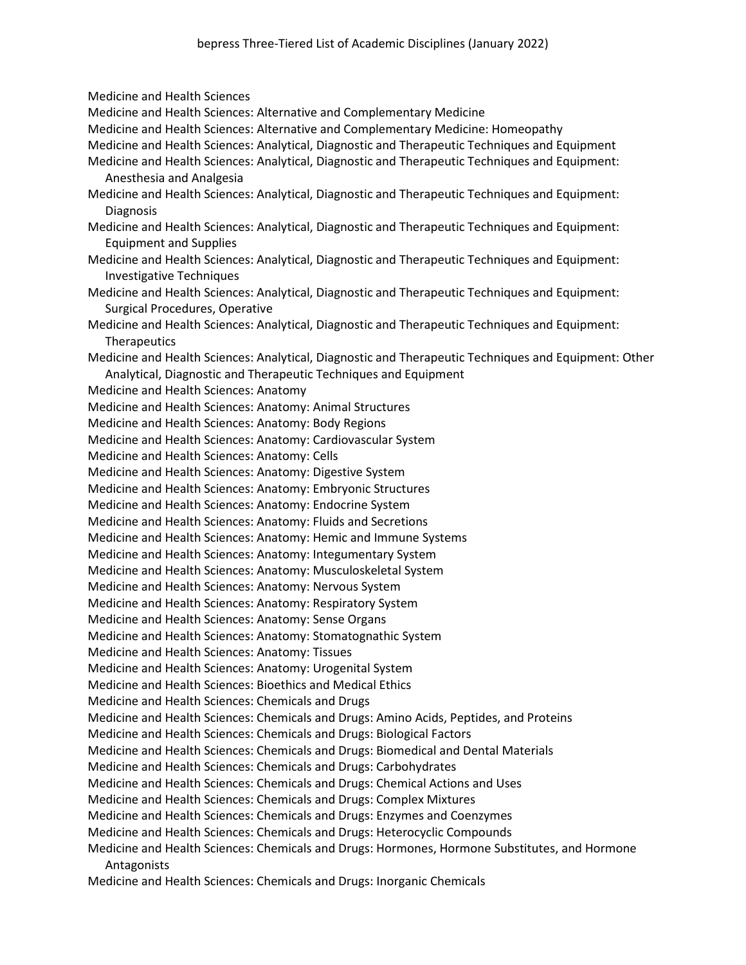Medicine and Health Sciences Medicine and Health Sciences: Alternative and Complementary Medicine Medicine and Health Sciences: Alternative and Complementary Medicine: Homeopathy Medicine and Health Sciences: Analytical, Diagnostic and Therapeutic Techniques and Equipment Medicine and Health Sciences: Analytical, Diagnostic and Therapeutic Techniques and Equipment: Anesthesia and Analgesia Medicine and Health Sciences: Analytical, Diagnostic and Therapeutic Techniques and Equipment: **Diagnosis** Medicine and Health Sciences: Analytical, Diagnostic and Therapeutic Techniques and Equipment: Equipment and Supplies Medicine and Health Sciences: Analytical, Diagnostic and Therapeutic Techniques and Equipment: Investigative Techniques Medicine and Health Sciences: Analytical, Diagnostic and Therapeutic Techniques and Equipment: Surgical Procedures, Operative Medicine and Health Sciences: Analytical, Diagnostic and Therapeutic Techniques and Equipment: **Therapeutics** Medicine and Health Sciences: Analytical, Diagnostic and Therapeutic Techniques and Equipment: Other Analytical, Diagnostic and Therapeutic Techniques and Equipment Medicine and Health Sciences: Anatomy Medicine and Health Sciences: Anatomy: Animal Structures Medicine and Health Sciences: Anatomy: Body Regions Medicine and Health Sciences: Anatomy: Cardiovascular System Medicine and Health Sciences: Anatomy: Cells Medicine and Health Sciences: Anatomy: Digestive System Medicine and Health Sciences: Anatomy: Embryonic Structures Medicine and Health Sciences: Anatomy: Endocrine System Medicine and Health Sciences: Anatomy: Fluids and Secretions Medicine and Health Sciences: Anatomy: Hemic and Immune Systems Medicine and Health Sciences: Anatomy: Integumentary System Medicine and Health Sciences: Anatomy: Musculoskeletal System Medicine and Health Sciences: Anatomy: Nervous System Medicine and Health Sciences: Anatomy: Respiratory System Medicine and Health Sciences: Anatomy: Sense Organs Medicine and Health Sciences: Anatomy: Stomatognathic System Medicine and Health Sciences: Anatomy: Tissues Medicine and Health Sciences: Anatomy: Urogenital System Medicine and Health Sciences: Bioethics and Medical Ethics Medicine and Health Sciences: Chemicals and Drugs Medicine and Health Sciences: Chemicals and Drugs: Amino Acids, Peptides, and Proteins Medicine and Health Sciences: Chemicals and Drugs: Biological Factors Medicine and Health Sciences: Chemicals and Drugs: Biomedical and Dental Materials Medicine and Health Sciences: Chemicals and Drugs: Carbohydrates Medicine and Health Sciences: Chemicals and Drugs: Chemical Actions and Uses Medicine and Health Sciences: Chemicals and Drugs: Complex Mixtures Medicine and Health Sciences: Chemicals and Drugs: Enzymes and Coenzymes Medicine and Health Sciences: Chemicals and Drugs: Heterocyclic Compounds Medicine and Health Sciences: Chemicals and Drugs: Hormones, Hormone Substitutes, and Hormone Antagonists

Medicine and Health Sciences: Chemicals and Drugs: Inorganic Chemicals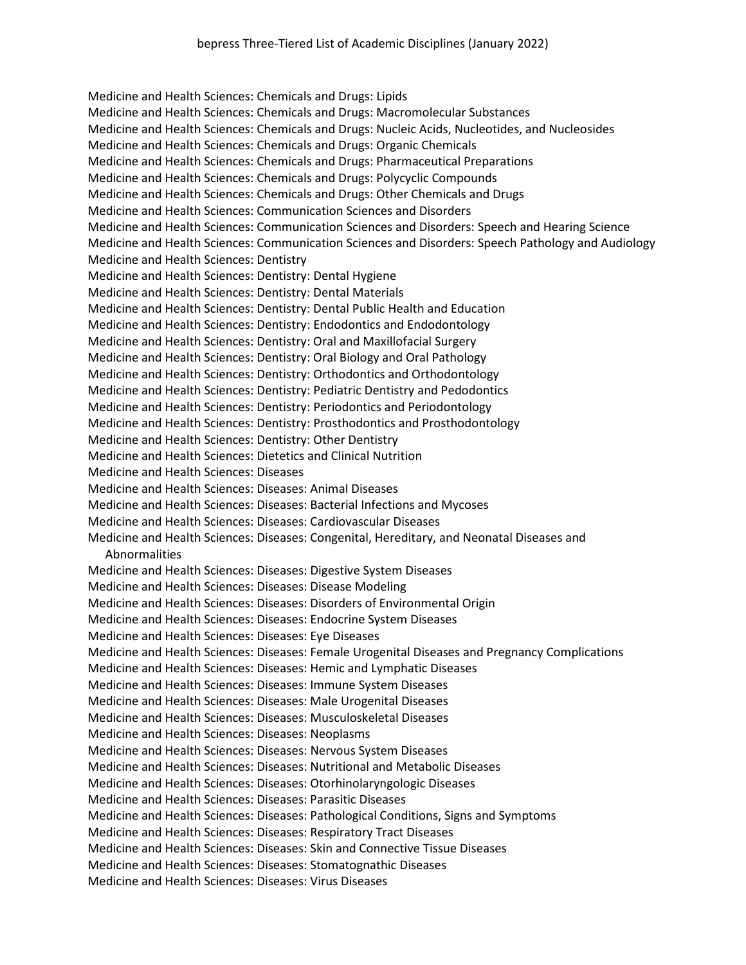Medicine and Health Sciences: Chemicals and Drugs: Lipids Medicine and Health Sciences: Chemicals and Drugs: Macromolecular Substances Medicine and Health Sciences: Chemicals and Drugs: Nucleic Acids, Nucleotides, and Nucleosides Medicine and Health Sciences: Chemicals and Drugs: Organic Chemicals Medicine and Health Sciences: Chemicals and Drugs: Pharmaceutical Preparations Medicine and Health Sciences: Chemicals and Drugs: Polycyclic Compounds Medicine and Health Sciences: Chemicals and Drugs: Other Chemicals and Drugs Medicine and Health Sciences: Communication Sciences and Disorders Medicine and Health Sciences: Communication Sciences and Disorders: Speech and Hearing Science Medicine and Health Sciences: Communication Sciences and Disorders: Speech Pathology and Audiology Medicine and Health Sciences: Dentistry Medicine and Health Sciences: Dentistry: Dental Hygiene Medicine and Health Sciences: Dentistry: Dental Materials Medicine and Health Sciences: Dentistry: Dental Public Health and Education Medicine and Health Sciences: Dentistry: Endodontics and Endodontology Medicine and Health Sciences: Dentistry: Oral and Maxillofacial Surgery Medicine and Health Sciences: Dentistry: Oral Biology and Oral Pathology Medicine and Health Sciences: Dentistry: Orthodontics and Orthodontology Medicine and Health Sciences: Dentistry: Pediatric Dentistry and Pedodontics Medicine and Health Sciences: Dentistry: Periodontics and Periodontology Medicine and Health Sciences: Dentistry: Prosthodontics and Prosthodontology Medicine and Health Sciences: Dentistry: Other Dentistry Medicine and Health Sciences: Dietetics and Clinical Nutrition Medicine and Health Sciences: Diseases Medicine and Health Sciences: Diseases: Animal Diseases Medicine and Health Sciences: Diseases: Bacterial Infections and Mycoses Medicine and Health Sciences: Diseases: Cardiovascular Diseases Medicine and Health Sciences: Diseases: Congenital, Hereditary, and Neonatal Diseases and Abnormalities Medicine and Health Sciences: Diseases: Digestive System Diseases Medicine and Health Sciences: Diseases: Disease Modeling Medicine and Health Sciences: Diseases: Disorders of Environmental Origin Medicine and Health Sciences: Diseases: Endocrine System Diseases Medicine and Health Sciences: Diseases: Eye Diseases Medicine and Health Sciences: Diseases: Female Urogenital Diseases and Pregnancy Complications Medicine and Health Sciences: Diseases: Hemic and Lymphatic Diseases Medicine and Health Sciences: Diseases: Immune System Diseases Medicine and Health Sciences: Diseases: Male Urogenital Diseases Medicine and Health Sciences: Diseases: Musculoskeletal Diseases Medicine and Health Sciences: Diseases: Neoplasms Medicine and Health Sciences: Diseases: Nervous System Diseases Medicine and Health Sciences: Diseases: Nutritional and Metabolic Diseases Medicine and Health Sciences: Diseases: Otorhinolaryngologic Diseases Medicine and Health Sciences: Diseases: Parasitic Diseases Medicine and Health Sciences: Diseases: Pathological Conditions, Signs and Symptoms Medicine and Health Sciences: Diseases: Respiratory Tract Diseases Medicine and Health Sciences: Diseases: Skin and Connective Tissue Diseases Medicine and Health Sciences: Diseases: Stomatognathic Diseases Medicine and Health Sciences: Diseases: Virus Diseases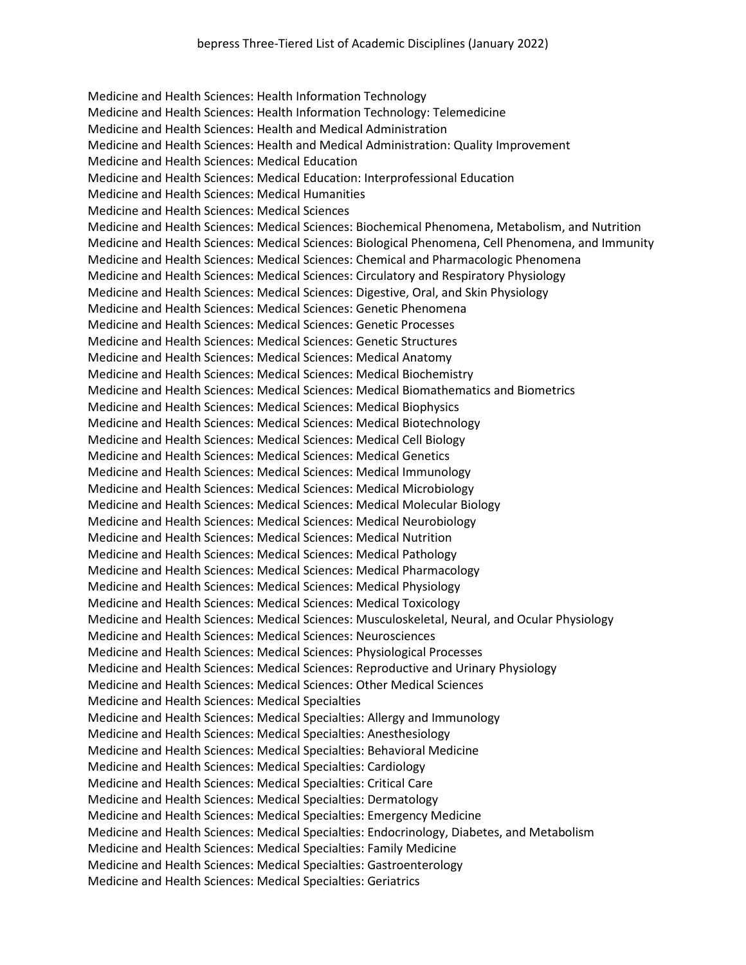Medicine and Health Sciences: Health Information Technology Medicine and Health Sciences: Health Information Technology: Telemedicine Medicine and Health Sciences: Health and Medical Administration Medicine and Health Sciences: Health and Medical Administration: Quality Improvement Medicine and Health Sciences: Medical Education Medicine and Health Sciences: Medical Education: Interprofessional Education Medicine and Health Sciences: Medical Humanities Medicine and Health Sciences: Medical Sciences Medicine and Health Sciences: Medical Sciences: Biochemical Phenomena, Metabolism, and Nutrition Medicine and Health Sciences: Medical Sciences: Biological Phenomena, Cell Phenomena, and Immunity Medicine and Health Sciences: Medical Sciences: Chemical and Pharmacologic Phenomena Medicine and Health Sciences: Medical Sciences: Circulatory and Respiratory Physiology Medicine and Health Sciences: Medical Sciences: Digestive, Oral, and Skin Physiology Medicine and Health Sciences: Medical Sciences: Genetic Phenomena Medicine and Health Sciences: Medical Sciences: Genetic Processes Medicine and Health Sciences: Medical Sciences: Genetic Structures Medicine and Health Sciences: Medical Sciences: Medical Anatomy Medicine and Health Sciences: Medical Sciences: Medical Biochemistry Medicine and Health Sciences: Medical Sciences: Medical Biomathematics and Biometrics Medicine and Health Sciences: Medical Sciences: Medical Biophysics Medicine and Health Sciences: Medical Sciences: Medical Biotechnology Medicine and Health Sciences: Medical Sciences: Medical Cell Biology Medicine and Health Sciences: Medical Sciences: Medical Genetics Medicine and Health Sciences: Medical Sciences: Medical Immunology Medicine and Health Sciences: Medical Sciences: Medical Microbiology Medicine and Health Sciences: Medical Sciences: Medical Molecular Biology Medicine and Health Sciences: Medical Sciences: Medical Neurobiology Medicine and Health Sciences: Medical Sciences: Medical Nutrition Medicine and Health Sciences: Medical Sciences: Medical Pathology Medicine and Health Sciences: Medical Sciences: Medical Pharmacology Medicine and Health Sciences: Medical Sciences: Medical Physiology Medicine and Health Sciences: Medical Sciences: Medical Toxicology Medicine and Health Sciences: Medical Sciences: Musculoskeletal, Neural, and Ocular Physiology Medicine and Health Sciences: Medical Sciences: Neurosciences Medicine and Health Sciences: Medical Sciences: Physiological Processes Medicine and Health Sciences: Medical Sciences: Reproductive and Urinary Physiology Medicine and Health Sciences: Medical Sciences: Other Medical Sciences Medicine and Health Sciences: Medical Specialties Medicine and Health Sciences: Medical Specialties: Allergy and Immunology Medicine and Health Sciences: Medical Specialties: Anesthesiology Medicine and Health Sciences: Medical Specialties: Behavioral Medicine Medicine and Health Sciences: Medical Specialties: Cardiology Medicine and Health Sciences: Medical Specialties: Critical Care Medicine and Health Sciences: Medical Specialties: Dermatology Medicine and Health Sciences: Medical Specialties: Emergency Medicine Medicine and Health Sciences: Medical Specialties: Endocrinology, Diabetes, and Metabolism Medicine and Health Sciences: Medical Specialties: Family Medicine Medicine and Health Sciences: Medical Specialties: Gastroenterology Medicine and Health Sciences: Medical Specialties: Geriatrics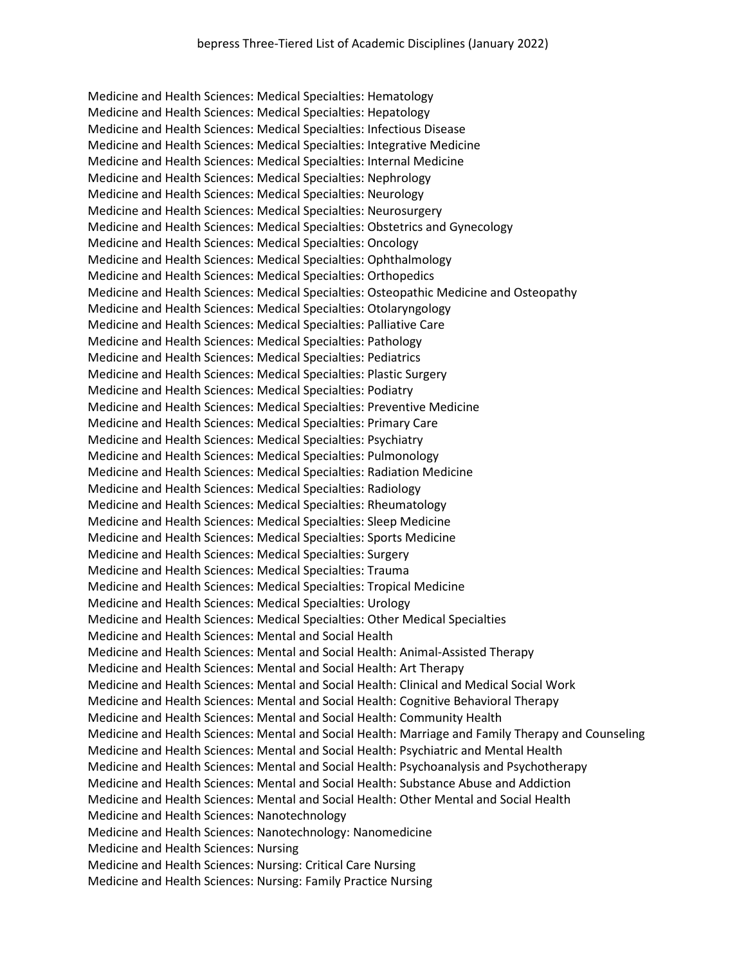Medicine and Health Sciences: Medical Specialties: Hematology Medicine and Health Sciences: Medical Specialties: Hepatology Medicine and Health Sciences: Medical Specialties: Infectious Disease Medicine and Health Sciences: Medical Specialties: Integrative Medicine Medicine and Health Sciences: Medical Specialties: Internal Medicine Medicine and Health Sciences: Medical Specialties: Nephrology Medicine and Health Sciences: Medical Specialties: Neurology Medicine and Health Sciences: Medical Specialties: Neurosurgery Medicine and Health Sciences: Medical Specialties: Obstetrics and Gynecology Medicine and Health Sciences: Medical Specialties: Oncology Medicine and Health Sciences: Medical Specialties: Ophthalmology Medicine and Health Sciences: Medical Specialties: Orthopedics Medicine and Health Sciences: Medical Specialties: Osteopathic Medicine and Osteopathy Medicine and Health Sciences: Medical Specialties: Otolaryngology Medicine and Health Sciences: Medical Specialties: Palliative Care Medicine and Health Sciences: Medical Specialties: Pathology Medicine and Health Sciences: Medical Specialties: Pediatrics Medicine and Health Sciences: Medical Specialties: Plastic Surgery Medicine and Health Sciences: Medical Specialties: Podiatry Medicine and Health Sciences: Medical Specialties: Preventive Medicine Medicine and Health Sciences: Medical Specialties: Primary Care Medicine and Health Sciences: Medical Specialties: Psychiatry Medicine and Health Sciences: Medical Specialties: Pulmonology Medicine and Health Sciences: Medical Specialties: Radiation Medicine Medicine and Health Sciences: Medical Specialties: Radiology Medicine and Health Sciences: Medical Specialties: Rheumatology Medicine and Health Sciences: Medical Specialties: Sleep Medicine Medicine and Health Sciences: Medical Specialties: Sports Medicine Medicine and Health Sciences: Medical Specialties: Surgery Medicine and Health Sciences: Medical Specialties: Trauma Medicine and Health Sciences: Medical Specialties: Tropical Medicine Medicine and Health Sciences: Medical Specialties: Urology Medicine and Health Sciences: Medical Specialties: Other Medical Specialties Medicine and Health Sciences: Mental and Social Health Medicine and Health Sciences: Mental and Social Health: Animal-Assisted Therapy Medicine and Health Sciences: Mental and Social Health: Art Therapy Medicine and Health Sciences: Mental and Social Health: Clinical and Medical Social Work Medicine and Health Sciences: Mental and Social Health: Cognitive Behavioral Therapy Medicine and Health Sciences: Mental and Social Health: Community Health Medicine and Health Sciences: Mental and Social Health: Marriage and Family Therapy and Counseling Medicine and Health Sciences: Mental and Social Health: Psychiatric and Mental Health Medicine and Health Sciences: Mental and Social Health: Psychoanalysis and Psychotherapy Medicine and Health Sciences: Mental and Social Health: Substance Abuse and Addiction Medicine and Health Sciences: Mental and Social Health: Other Mental and Social Health Medicine and Health Sciences: Nanotechnology Medicine and Health Sciences: Nanotechnology: Nanomedicine Medicine and Health Sciences: Nursing Medicine and Health Sciences: Nursing: Critical Care Nursing Medicine and Health Sciences: Nursing: Family Practice Nursing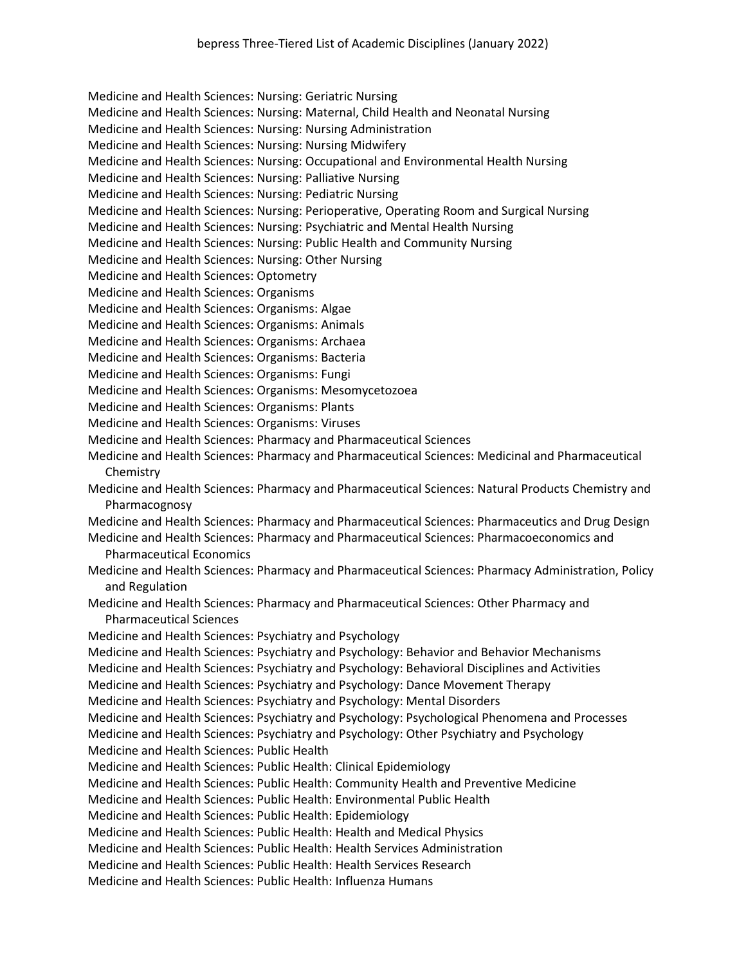Medicine and Health Sciences: Nursing: Geriatric Nursing

Medicine and Health Sciences: Nursing: Maternal, Child Health and Neonatal Nursing

Medicine and Health Sciences: Nursing: Nursing Administration

- Medicine and Health Sciences: Nursing: Nursing Midwifery
- Medicine and Health Sciences: Nursing: Occupational and Environmental Health Nursing
- Medicine and Health Sciences: Nursing: Palliative Nursing
- Medicine and Health Sciences: Nursing: Pediatric Nursing
- Medicine and Health Sciences: Nursing: Perioperative, Operating Room and Surgical Nursing
- Medicine and Health Sciences: Nursing: Psychiatric and Mental Health Nursing
- Medicine and Health Sciences: Nursing: Public Health and Community Nursing
- Medicine and Health Sciences: Nursing: Other Nursing
- Medicine and Health Sciences: Optometry
- Medicine and Health Sciences: Organisms
- Medicine and Health Sciences: Organisms: Algae
- Medicine and Health Sciences: Organisms: Animals
- Medicine and Health Sciences: Organisms: Archaea
- Medicine and Health Sciences: Organisms: Bacteria
- Medicine and Health Sciences: Organisms: Fungi
- Medicine and Health Sciences: Organisms: Mesomycetozoea
- Medicine and Health Sciences: Organisms: Plants
- Medicine and Health Sciences: Organisms: Viruses
- Medicine and Health Sciences: Pharmacy and Pharmaceutical Sciences
- Medicine and Health Sciences: Pharmacy and Pharmaceutical Sciences: Medicinal and Pharmaceutical Chemistry
- Medicine and Health Sciences: Pharmacy and Pharmaceutical Sciences: Natural Products Chemistry and Pharmacognosy
- Medicine and Health Sciences: Pharmacy and Pharmaceutical Sciences: Pharmaceutics and Drug Design
- Medicine and Health Sciences: Pharmacy and Pharmaceutical Sciences: Pharmacoeconomics and Pharmaceutical Economics
- Medicine and Health Sciences: Pharmacy and Pharmaceutical Sciences: Pharmacy Administration, Policy and Regulation
- Medicine and Health Sciences: Pharmacy and Pharmaceutical Sciences: Other Pharmacy and Pharmaceutical Sciences
- Medicine and Health Sciences: Psychiatry and Psychology
- Medicine and Health Sciences: Psychiatry and Psychology: Behavior and Behavior Mechanisms
- Medicine and Health Sciences: Psychiatry and Psychology: Behavioral Disciplines and Activities
- Medicine and Health Sciences: Psychiatry and Psychology: Dance Movement Therapy
- Medicine and Health Sciences: Psychiatry and Psychology: Mental Disorders
- Medicine and Health Sciences: Psychiatry and Psychology: Psychological Phenomena and Processes
- Medicine and Health Sciences: Psychiatry and Psychology: Other Psychiatry and Psychology
- Medicine and Health Sciences: Public Health
- Medicine and Health Sciences: Public Health: Clinical Epidemiology
- Medicine and Health Sciences: Public Health: Community Health and Preventive Medicine
- Medicine and Health Sciences: Public Health: Environmental Public Health
- Medicine and Health Sciences: Public Health: Epidemiology
- Medicine and Health Sciences: Public Health: Health and Medical Physics
- Medicine and Health Sciences: Public Health: Health Services Administration
- Medicine and Health Sciences: Public Health: Health Services Research
- Medicine and Health Sciences: Public Health: Influenza Humans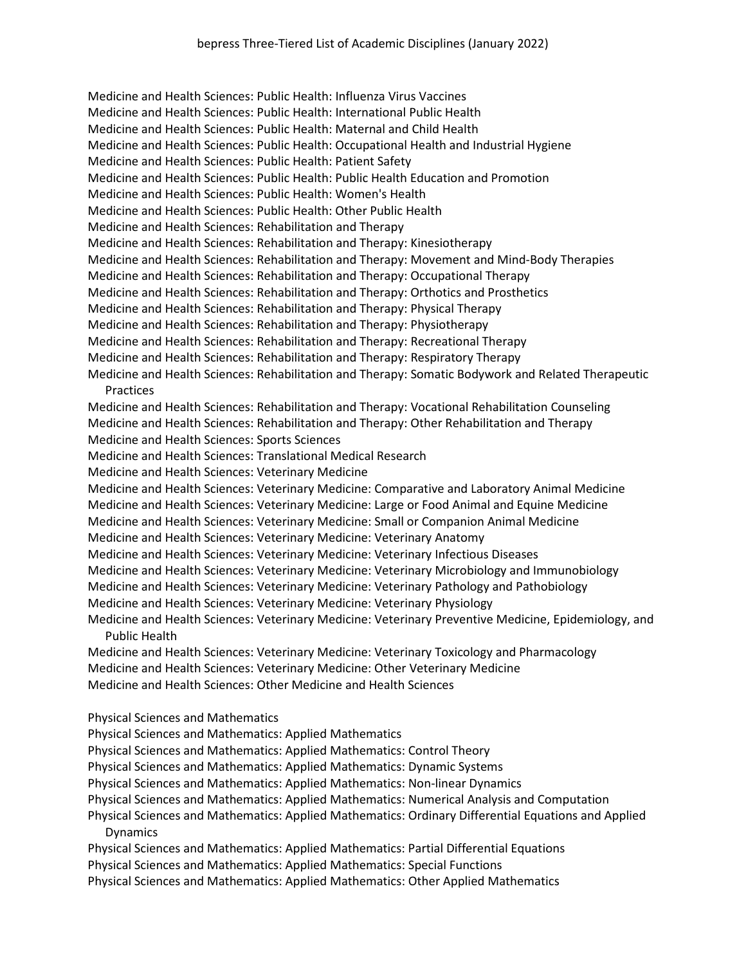Medicine and Health Sciences: Public Health: Influenza Virus Vaccines Medicine and Health Sciences: Public Health: International Public Health Medicine and Health Sciences: Public Health: Maternal and Child Health Medicine and Health Sciences: Public Health: Occupational Health and Industrial Hygiene Medicine and Health Sciences: Public Health: Patient Safety Medicine and Health Sciences: Public Health: Public Health Education and Promotion Medicine and Health Sciences: Public Health: Women's Health Medicine and Health Sciences: Public Health: Other Public Health Medicine and Health Sciences: Rehabilitation and Therapy Medicine and Health Sciences: Rehabilitation and Therapy: Kinesiotherapy Medicine and Health Sciences: Rehabilitation and Therapy: Movement and Mind-Body Therapies Medicine and Health Sciences: Rehabilitation and Therapy: Occupational Therapy Medicine and Health Sciences: Rehabilitation and Therapy: Orthotics and Prosthetics Medicine and Health Sciences: Rehabilitation and Therapy: Physical Therapy Medicine and Health Sciences: Rehabilitation and Therapy: Physiotherapy Medicine and Health Sciences: Rehabilitation and Therapy: Recreational Therapy Medicine and Health Sciences: Rehabilitation and Therapy: Respiratory Therapy Medicine and Health Sciences: Rehabilitation and Therapy: Somatic Bodywork and Related Therapeutic **Practices** Medicine and Health Sciences: Rehabilitation and Therapy: Vocational Rehabilitation Counseling Medicine and Health Sciences: Rehabilitation and Therapy: Other Rehabilitation and Therapy Medicine and Health Sciences: Sports Sciences Medicine and Health Sciences: Translational Medical Research Medicine and Health Sciences: Veterinary Medicine Medicine and Health Sciences: Veterinary Medicine: Comparative and Laboratory Animal Medicine Medicine and Health Sciences: Veterinary Medicine: Large or Food Animal and Equine Medicine Medicine and Health Sciences: Veterinary Medicine: Small or Companion Animal Medicine Medicine and Health Sciences: Veterinary Medicine: Veterinary Anatomy Medicine and Health Sciences: Veterinary Medicine: Veterinary Infectious Diseases Medicine and Health Sciences: Veterinary Medicine: Veterinary Microbiology and Immunobiology Medicine and Health Sciences: Veterinary Medicine: Veterinary Pathology and Pathobiology Medicine and Health Sciences: Veterinary Medicine: Veterinary Physiology Medicine and Health Sciences: Veterinary Medicine: Veterinary Preventive Medicine, Epidemiology, and Public Health Medicine and Health Sciences: Veterinary Medicine: Veterinary Toxicology and Pharmacology Medicine and Health Sciences: Veterinary Medicine: Other Veterinary Medicine Medicine and Health Sciences: Other Medicine and Health Sciences Physical Sciences and Mathematics Physical Sciences and Mathematics: Applied Mathematics Physical Sciences and Mathematics: Applied Mathematics: Control Theory Physical Sciences and Mathematics: Applied Mathematics: Dynamic Systems Physical Sciences and Mathematics: Applied Mathematics: Non-linear Dynamics Physical Sciences and Mathematics: Applied Mathematics: Numerical Analysis and Computation Physical Sciences and Mathematics: Applied Mathematics: Ordinary Differential Equations and Applied Dynamics Physical Sciences and Mathematics: Applied Mathematics: Partial Differential Equations Physical Sciences and Mathematics: Applied Mathematics: Special Functions Physical Sciences and Mathematics: Applied Mathematics: Other Applied Mathematics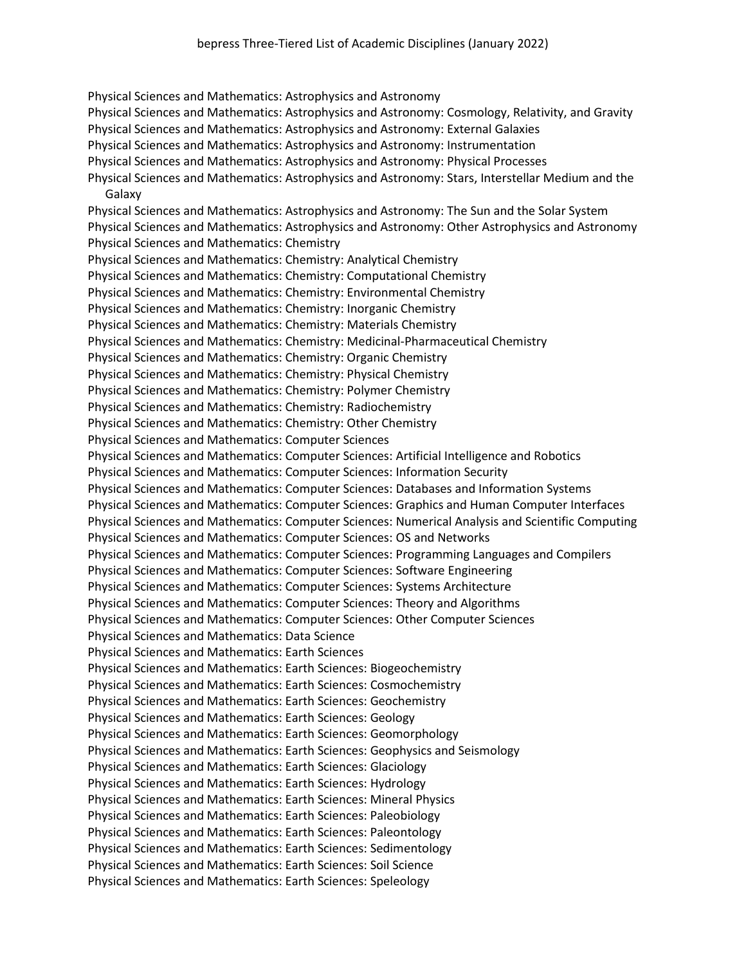Physical Sciences and Mathematics: Astrophysics and Astronomy Physical Sciences and Mathematics: Astrophysics and Astronomy: Cosmology, Relativity, and Gravity Physical Sciences and Mathematics: Astrophysics and Astronomy: External Galaxies Physical Sciences and Mathematics: Astrophysics and Astronomy: Instrumentation Physical Sciences and Mathematics: Astrophysics and Astronomy: Physical Processes Physical Sciences and Mathematics: Astrophysics and Astronomy: Stars, Interstellar Medium and the Galaxy Physical Sciences and Mathematics: Astrophysics and Astronomy: The Sun and the Solar System Physical Sciences and Mathematics: Astrophysics and Astronomy: Other Astrophysics and Astronomy Physical Sciences and Mathematics: Chemistry Physical Sciences and Mathematics: Chemistry: Analytical Chemistry Physical Sciences and Mathematics: Chemistry: Computational Chemistry Physical Sciences and Mathematics: Chemistry: Environmental Chemistry Physical Sciences and Mathematics: Chemistry: Inorganic Chemistry Physical Sciences and Mathematics: Chemistry: Materials Chemistry Physical Sciences and Mathematics: Chemistry: Medicinal-Pharmaceutical Chemistry Physical Sciences and Mathematics: Chemistry: Organic Chemistry Physical Sciences and Mathematics: Chemistry: Physical Chemistry Physical Sciences and Mathematics: Chemistry: Polymer Chemistry Physical Sciences and Mathematics: Chemistry: Radiochemistry Physical Sciences and Mathematics: Chemistry: Other Chemistry Physical Sciences and Mathematics: Computer Sciences Physical Sciences and Mathematics: Computer Sciences: Artificial Intelligence and Robotics Physical Sciences and Mathematics: Computer Sciences: Information Security Physical Sciences and Mathematics: Computer Sciences: Databases and Information Systems Physical Sciences and Mathematics: Computer Sciences: Graphics and Human Computer Interfaces Physical Sciences and Mathematics: Computer Sciences: Numerical Analysis and Scientific Computing Physical Sciences and Mathematics: Computer Sciences: OS and Networks Physical Sciences and Mathematics: Computer Sciences: Programming Languages and Compilers Physical Sciences and Mathematics: Computer Sciences: Software Engineering Physical Sciences and Mathematics: Computer Sciences: Systems Architecture Physical Sciences and Mathematics: Computer Sciences: Theory and Algorithms Physical Sciences and Mathematics: Computer Sciences: Other Computer Sciences Physical Sciences and Mathematics: Data Science Physical Sciences and Mathematics: Earth Sciences Physical Sciences and Mathematics: Earth Sciences: Biogeochemistry Physical Sciences and Mathematics: Earth Sciences: Cosmochemistry Physical Sciences and Mathematics: Earth Sciences: Geochemistry Physical Sciences and Mathematics: Earth Sciences: Geology Physical Sciences and Mathematics: Earth Sciences: Geomorphology Physical Sciences and Mathematics: Earth Sciences: Geophysics and Seismology Physical Sciences and Mathematics: Earth Sciences: Glaciology Physical Sciences and Mathematics: Earth Sciences: Hydrology Physical Sciences and Mathematics: Earth Sciences: Mineral Physics Physical Sciences and Mathematics: Earth Sciences: Paleobiology Physical Sciences and Mathematics: Earth Sciences: Paleontology Physical Sciences and Mathematics: Earth Sciences: Sedimentology Physical Sciences and Mathematics: Earth Sciences: Soil Science Physical Sciences and Mathematics: Earth Sciences: Speleology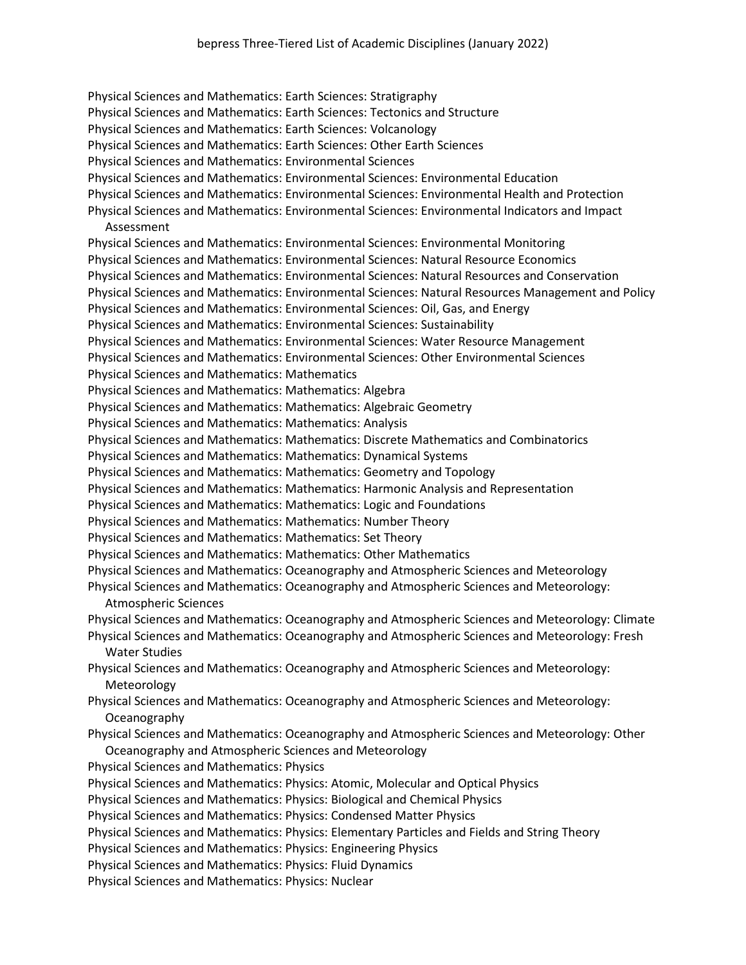Physical Sciences and Mathematics: Earth Sciences: Stratigraphy Physical Sciences and Mathematics: Earth Sciences: Tectonics and Structure Physical Sciences and Mathematics: Earth Sciences: Volcanology Physical Sciences and Mathematics: Earth Sciences: Other Earth Sciences Physical Sciences and Mathematics: Environmental Sciences Physical Sciences and Mathematics: Environmental Sciences: Environmental Education Physical Sciences and Mathematics: Environmental Sciences: Environmental Health and Protection Physical Sciences and Mathematics: Environmental Sciences: Environmental Indicators and Impact Assessment Physical Sciences and Mathematics: Environmental Sciences: Environmental Monitoring Physical Sciences and Mathematics: Environmental Sciences: Natural Resource Economics Physical Sciences and Mathematics: Environmental Sciences: Natural Resources and Conservation Physical Sciences and Mathematics: Environmental Sciences: Natural Resources Management and Policy Physical Sciences and Mathematics: Environmental Sciences: Oil, Gas, and Energy Physical Sciences and Mathematics: Environmental Sciences: Sustainability Physical Sciences and Mathematics: Environmental Sciences: Water Resource Management Physical Sciences and Mathematics: Environmental Sciences: Other Environmental Sciences Physical Sciences and Mathematics: Mathematics Physical Sciences and Mathematics: Mathematics: Algebra Physical Sciences and Mathematics: Mathematics: Algebraic Geometry Physical Sciences and Mathematics: Mathematics: Analysis Physical Sciences and Mathematics: Mathematics: Discrete Mathematics and Combinatorics Physical Sciences and Mathematics: Mathematics: Dynamical Systems Physical Sciences and Mathematics: Mathematics: Geometry and Topology Physical Sciences and Mathematics: Mathematics: Harmonic Analysis and Representation Physical Sciences and Mathematics: Mathematics: Logic and Foundations Physical Sciences and Mathematics: Mathematics: Number Theory Physical Sciences and Mathematics: Mathematics: Set Theory Physical Sciences and Mathematics: Mathematics: Other Mathematics Physical Sciences and Mathematics: Oceanography and Atmospheric Sciences and Meteorology Physical Sciences and Mathematics: Oceanography and Atmospheric Sciences and Meteorology: Atmospheric Sciences Physical Sciences and Mathematics: Oceanography and Atmospheric Sciences and Meteorology: Climate Physical Sciences and Mathematics: Oceanography and Atmospheric Sciences and Meteorology: Fresh Water Studies Physical Sciences and Mathematics: Oceanography and Atmospheric Sciences and Meteorology: Meteorology Physical Sciences and Mathematics: Oceanography and Atmospheric Sciences and Meteorology: Oceanography Physical Sciences and Mathematics: Oceanography and Atmospheric Sciences and Meteorology: Other Oceanography and Atmospheric Sciences and Meteorology Physical Sciences and Mathematics: Physics Physical Sciences and Mathematics: Physics: Atomic, Molecular and Optical Physics Physical Sciences and Mathematics: Physics: Biological and Chemical Physics Physical Sciences and Mathematics: Physics: Condensed Matter Physics Physical Sciences and Mathematics: Physics: Elementary Particles and Fields and String Theory Physical Sciences and Mathematics: Physics: Engineering Physics Physical Sciences and Mathematics: Physics: Fluid Dynamics

Physical Sciences and Mathematics: Physics: Nuclear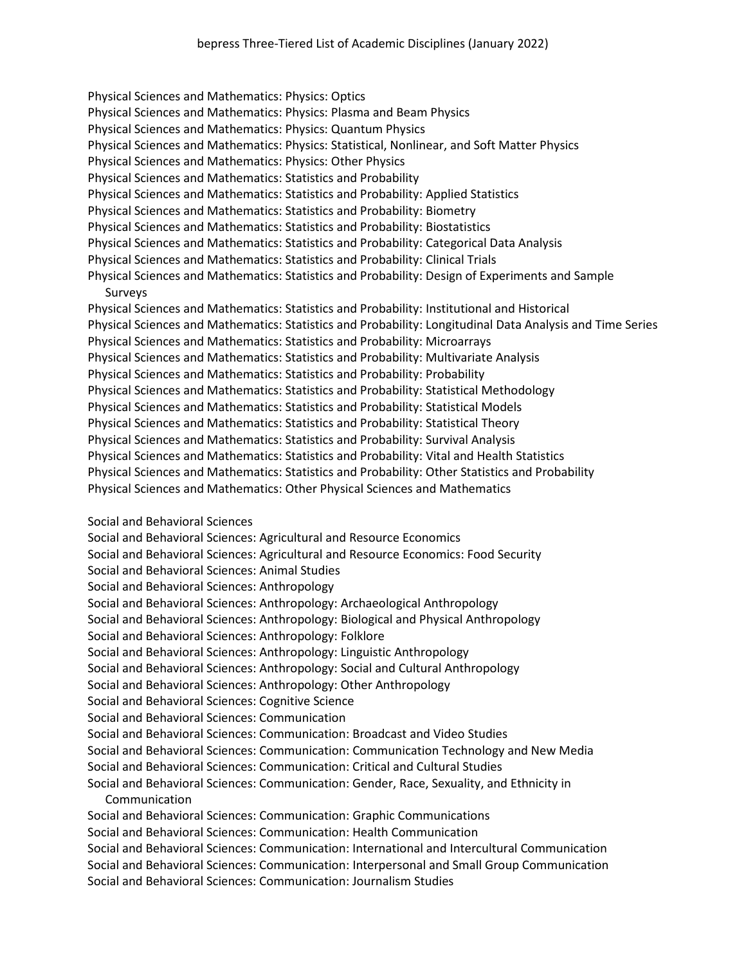Physical Sciences and Mathematics: Physics: Optics Physical Sciences and Mathematics: Physics: Plasma and Beam Physics Physical Sciences and Mathematics: Physics: Quantum Physics Physical Sciences and Mathematics: Physics: Statistical, Nonlinear, and Soft Matter Physics Physical Sciences and Mathematics: Physics: Other Physics Physical Sciences and Mathematics: Statistics and Probability Physical Sciences and Mathematics: Statistics and Probability: Applied Statistics Physical Sciences and Mathematics: Statistics and Probability: Biometry Physical Sciences and Mathematics: Statistics and Probability: Biostatistics Physical Sciences and Mathematics: Statistics and Probability: Categorical Data Analysis Physical Sciences and Mathematics: Statistics and Probability: Clinical Trials Physical Sciences and Mathematics: Statistics and Probability: Design of Experiments and Sample Surveys Physical Sciences and Mathematics: Statistics and Probability: Institutional and Historical Physical Sciences and Mathematics: Statistics and Probability: Longitudinal Data Analysis and Time Series Physical Sciences and Mathematics: Statistics and Probability: Microarrays Physical Sciences and Mathematics: Statistics and Probability: Multivariate Analysis Physical Sciences and Mathematics: Statistics and Probability: Probability Physical Sciences and Mathematics: Statistics and Probability: Statistical Methodology Physical Sciences and Mathematics: Statistics and Probability: Statistical Models Physical Sciences and Mathematics: Statistics and Probability: Statistical Theory Physical Sciences and Mathematics: Statistics and Probability: Survival Analysis Physical Sciences and Mathematics: Statistics and Probability: Vital and Health Statistics Physical Sciences and Mathematics: Statistics and Probability: Other Statistics and Probability Physical Sciences and Mathematics: Other Physical Sciences and Mathematics

Social and Behavioral Sciences

Social and Behavioral Sciences: Agricultural and Resource Economics Social and Behavioral Sciences: Agricultural and Resource Economics: Food Security Social and Behavioral Sciences: Animal Studies Social and Behavioral Sciences: Anthropology Social and Behavioral Sciences: Anthropology: Archaeological Anthropology Social and Behavioral Sciences: Anthropology: Biological and Physical Anthropology Social and Behavioral Sciences: Anthropology: Folklore Social and Behavioral Sciences: Anthropology: Linguistic Anthropology Social and Behavioral Sciences: Anthropology: Social and Cultural Anthropology Social and Behavioral Sciences: Anthropology: Other Anthropology Social and Behavioral Sciences: Cognitive Science Social and Behavioral Sciences: Communication Social and Behavioral Sciences: Communication: Broadcast and Video Studies Social and Behavioral Sciences: Communication: Communication Technology and New Media Social and Behavioral Sciences: Communication: Critical and Cultural Studies Social and Behavioral Sciences: Communication: Gender, Race, Sexuality, and Ethnicity in Communication Social and Behavioral Sciences: Communication: Graphic Communications Social and Behavioral Sciences: Communication: Health Communication Social and Behavioral Sciences: Communication: International and Intercultural Communication Social and Behavioral Sciences: Communication: Interpersonal and Small Group Communication Social and Behavioral Sciences: Communication: Journalism Studies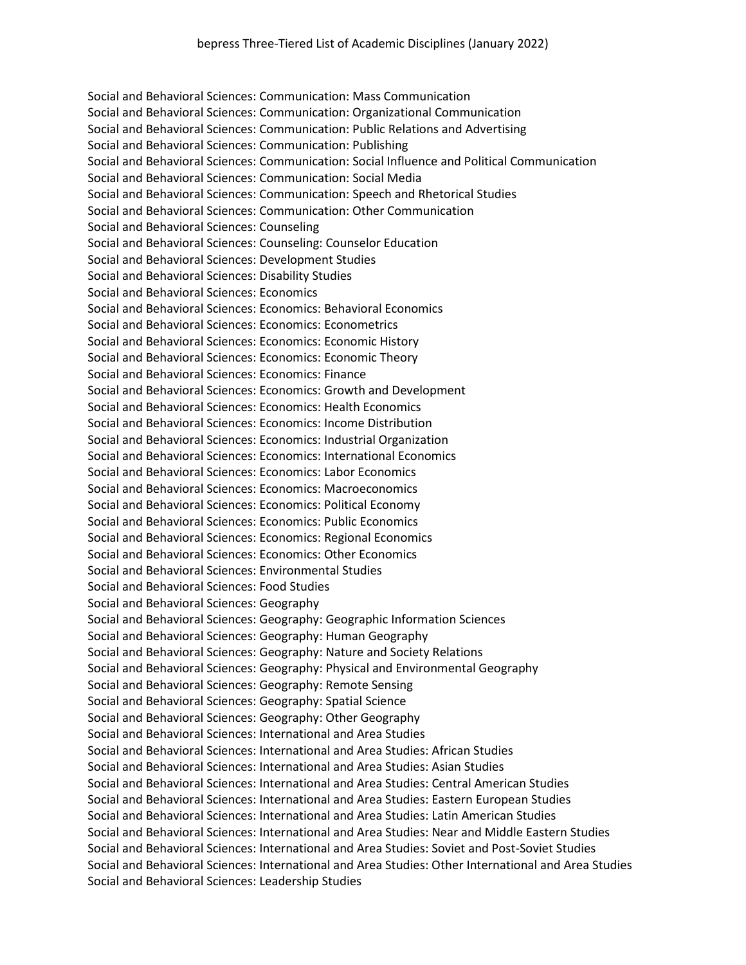Social and Behavioral Sciences: Communication: Mass Communication Social and Behavioral Sciences: Communication: Organizational Communication Social and Behavioral Sciences: Communication: Public Relations and Advertising Social and Behavioral Sciences: Communication: Publishing Social and Behavioral Sciences: Communication: Social Influence and Political Communication Social and Behavioral Sciences: Communication: Social Media Social and Behavioral Sciences: Communication: Speech and Rhetorical Studies Social and Behavioral Sciences: Communication: Other Communication Social and Behavioral Sciences: Counseling Social and Behavioral Sciences: Counseling: Counselor Education Social and Behavioral Sciences: Development Studies Social and Behavioral Sciences: Disability Studies Social and Behavioral Sciences: Economics Social and Behavioral Sciences: Economics: Behavioral Economics Social and Behavioral Sciences: Economics: Econometrics Social and Behavioral Sciences: Economics: Economic History Social and Behavioral Sciences: Economics: Economic Theory Social and Behavioral Sciences: Economics: Finance Social and Behavioral Sciences: Economics: Growth and Development Social and Behavioral Sciences: Economics: Health Economics Social and Behavioral Sciences: Economics: Income Distribution Social and Behavioral Sciences: Economics: Industrial Organization Social and Behavioral Sciences: Economics: International Economics Social and Behavioral Sciences: Economics: Labor Economics Social and Behavioral Sciences: Economics: Macroeconomics Social and Behavioral Sciences: Economics: Political Economy Social and Behavioral Sciences: Economics: Public Economics Social and Behavioral Sciences: Economics: Regional Economics Social and Behavioral Sciences: Economics: Other Economics Social and Behavioral Sciences: Environmental Studies Social and Behavioral Sciences: Food Studies Social and Behavioral Sciences: Geography Social and Behavioral Sciences: Geography: Geographic Information Sciences Social and Behavioral Sciences: Geography: Human Geography Social and Behavioral Sciences: Geography: Nature and Society Relations Social and Behavioral Sciences: Geography: Physical and Environmental Geography Social and Behavioral Sciences: Geography: Remote Sensing Social and Behavioral Sciences: Geography: Spatial Science Social and Behavioral Sciences: Geography: Other Geography Social and Behavioral Sciences: International and Area Studies Social and Behavioral Sciences: International and Area Studies: African Studies Social and Behavioral Sciences: International and Area Studies: Asian Studies Social and Behavioral Sciences: International and Area Studies: Central American Studies Social and Behavioral Sciences: International and Area Studies: Eastern European Studies Social and Behavioral Sciences: International and Area Studies: Latin American Studies Social and Behavioral Sciences: International and Area Studies: Near and Middle Eastern Studies Social and Behavioral Sciences: International and Area Studies: Soviet and Post-Soviet Studies Social and Behavioral Sciences: International and Area Studies: Other International and Area Studies Social and Behavioral Sciences: Leadership Studies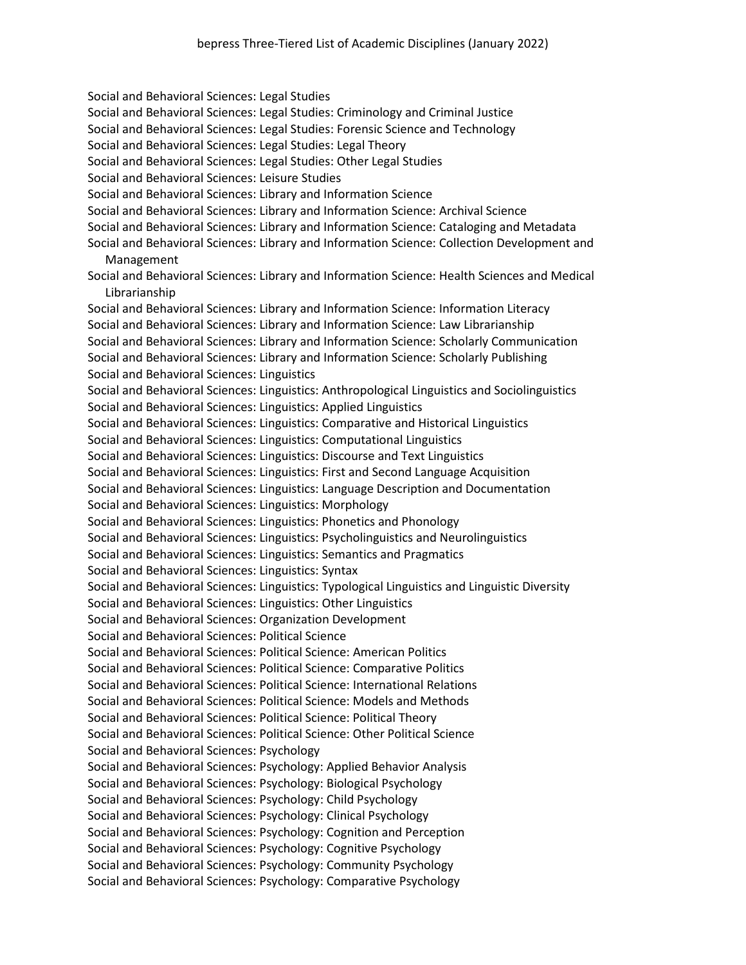Social and Behavioral Sciences: Legal Studies Social and Behavioral Sciences: Legal Studies: Criminology and Criminal Justice Social and Behavioral Sciences: Legal Studies: Forensic Science and Technology Social and Behavioral Sciences: Legal Studies: Legal Theory Social and Behavioral Sciences: Legal Studies: Other Legal Studies Social and Behavioral Sciences: Leisure Studies Social and Behavioral Sciences: Library and Information Science Social and Behavioral Sciences: Library and Information Science: Archival Science Social and Behavioral Sciences: Library and Information Science: Cataloging and Metadata Social and Behavioral Sciences: Library and Information Science: Collection Development and Management Social and Behavioral Sciences: Library and Information Science: Health Sciences and Medical Librarianship Social and Behavioral Sciences: Library and Information Science: Information Literacy Social and Behavioral Sciences: Library and Information Science: Law Librarianship Social and Behavioral Sciences: Library and Information Science: Scholarly Communication Social and Behavioral Sciences: Library and Information Science: Scholarly Publishing Social and Behavioral Sciences: Linguistics Social and Behavioral Sciences: Linguistics: Anthropological Linguistics and Sociolinguistics Social and Behavioral Sciences: Linguistics: Applied Linguistics Social and Behavioral Sciences: Linguistics: Comparative and Historical Linguistics Social and Behavioral Sciences: Linguistics: Computational Linguistics Social and Behavioral Sciences: Linguistics: Discourse and Text Linguistics Social and Behavioral Sciences: Linguistics: First and Second Language Acquisition Social and Behavioral Sciences: Linguistics: Language Description and Documentation Social and Behavioral Sciences: Linguistics: Morphology Social and Behavioral Sciences: Linguistics: Phonetics and Phonology Social and Behavioral Sciences: Linguistics: Psycholinguistics and Neurolinguistics Social and Behavioral Sciences: Linguistics: Semantics and Pragmatics Social and Behavioral Sciences: Linguistics: Syntax Social and Behavioral Sciences: Linguistics: Typological Linguistics and Linguistic Diversity Social and Behavioral Sciences: Linguistics: Other Linguistics Social and Behavioral Sciences: Organization Development Social and Behavioral Sciences: Political Science Social and Behavioral Sciences: Political Science: American Politics Social and Behavioral Sciences: Political Science: Comparative Politics Social and Behavioral Sciences: Political Science: International Relations Social and Behavioral Sciences: Political Science: Models and Methods Social and Behavioral Sciences: Political Science: Political Theory Social and Behavioral Sciences: Political Science: Other Political Science Social and Behavioral Sciences: Psychology Social and Behavioral Sciences: Psychology: Applied Behavior Analysis Social and Behavioral Sciences: Psychology: Biological Psychology Social and Behavioral Sciences: Psychology: Child Psychology Social and Behavioral Sciences: Psychology: Clinical Psychology Social and Behavioral Sciences: Psychology: Cognition and Perception Social and Behavioral Sciences: Psychology: Cognitive Psychology Social and Behavioral Sciences: Psychology: Community Psychology Social and Behavioral Sciences: Psychology: Comparative Psychology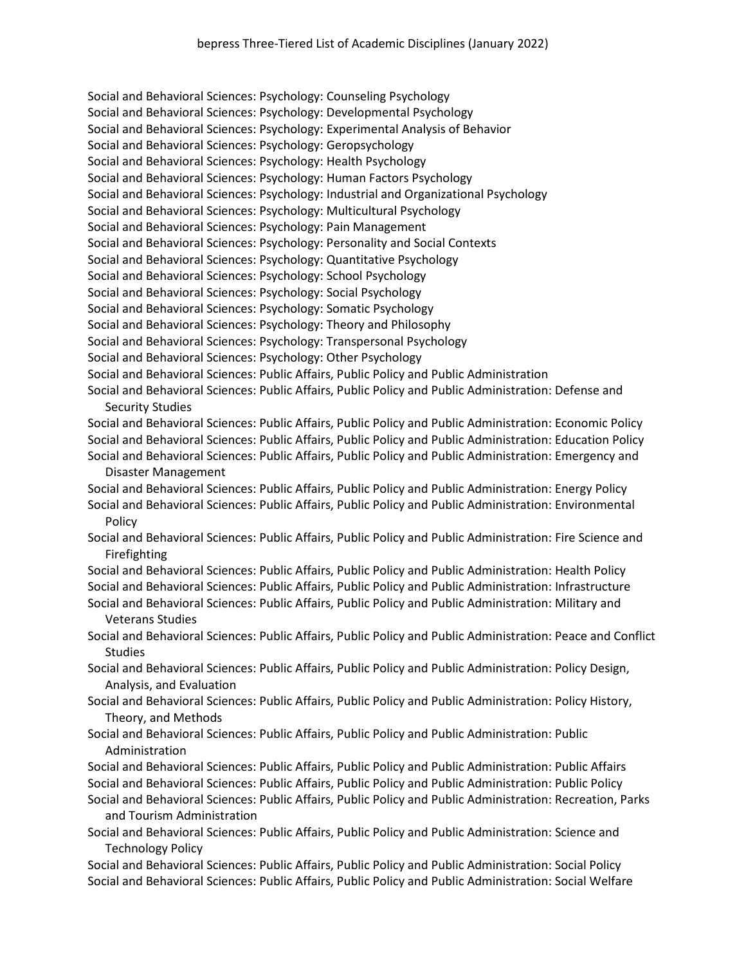Social and Behavioral Sciences: Psychology: Counseling Psychology Social and Behavioral Sciences: Psychology: Developmental Psychology Social and Behavioral Sciences: Psychology: Experimental Analysis of Behavior Social and Behavioral Sciences: Psychology: Geropsychology Social and Behavioral Sciences: Psychology: Health Psychology Social and Behavioral Sciences: Psychology: Human Factors Psychology Social and Behavioral Sciences: Psychology: Industrial and Organizational Psychology Social and Behavioral Sciences: Psychology: Multicultural Psychology Social and Behavioral Sciences: Psychology: Pain Management Social and Behavioral Sciences: Psychology: Personality and Social Contexts Social and Behavioral Sciences: Psychology: Quantitative Psychology Social and Behavioral Sciences: Psychology: School Psychology Social and Behavioral Sciences: Psychology: Social Psychology Social and Behavioral Sciences: Psychology: Somatic Psychology Social and Behavioral Sciences: Psychology: Theory and Philosophy Social and Behavioral Sciences: Psychology: Transpersonal Psychology Social and Behavioral Sciences: Psychology: Other Psychology Social and Behavioral Sciences: Public Affairs, Public Policy and Public Administration Social and Behavioral Sciences: Public Affairs, Public Policy and Public Administration: Defense and Security Studies Social and Behavioral Sciences: Public Affairs, Public Policy and Public Administration: Economic Policy Social and Behavioral Sciences: Public Affairs, Public Policy and Public Administration: Education Policy Social and Behavioral Sciences: Public Affairs, Public Policy and Public Administration: Emergency and

Disaster Management

Social and Behavioral Sciences: Public Affairs, Public Policy and Public Administration: Energy Policy Social and Behavioral Sciences: Public Affairs, Public Policy and Public Administration: Environmental Policy

Social and Behavioral Sciences: Public Affairs, Public Policy and Public Administration: Fire Science and Firefighting

Social and Behavioral Sciences: Public Affairs, Public Policy and Public Administration: Health Policy Social and Behavioral Sciences: Public Affairs, Public Policy and Public Administration: Infrastructure

Social and Behavioral Sciences: Public Affairs, Public Policy and Public Administration: Military and Veterans Studies

Social and Behavioral Sciences: Public Affairs, Public Policy and Public Administration: Peace and Conflict **Studies** 

Social and Behavioral Sciences: Public Affairs, Public Policy and Public Administration: Policy Design, Analysis, and Evaluation

- Social and Behavioral Sciences: Public Affairs, Public Policy and Public Administration: Policy History, Theory, and Methods
- Social and Behavioral Sciences: Public Affairs, Public Policy and Public Administration: Public Administration

Social and Behavioral Sciences: Public Affairs, Public Policy and Public Administration: Public Affairs Social and Behavioral Sciences: Public Affairs, Public Policy and Public Administration: Public Policy

- Social and Behavioral Sciences: Public Affairs, Public Policy and Public Administration: Recreation, Parks and Tourism Administration
- Social and Behavioral Sciences: Public Affairs, Public Policy and Public Administration: Science and Technology Policy

Social and Behavioral Sciences: Public Affairs, Public Policy and Public Administration: Social Policy Social and Behavioral Sciences: Public Affairs, Public Policy and Public Administration: Social Welfare